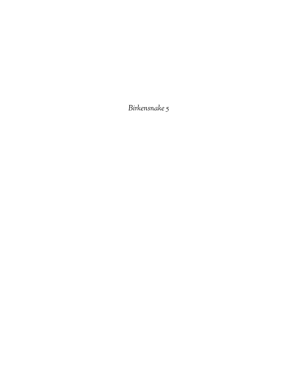*Birkensnake 5*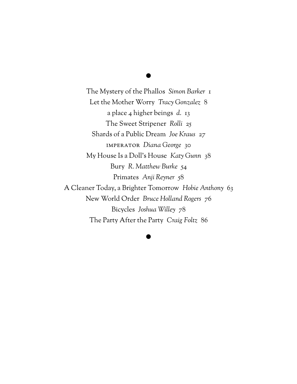### $\blacksquare$

The Mystery of the Phallos *Simon Barker* 1 Let the Mother Worry *Tracy Gonzalez* 8 a place 4 higher beings *d.* 13 The Sweet Stripener *Rolli* 25 Shards of a Public Dream *Joe Kraus* 27 imperator *Diana George* 30 My House Is a Doll's House *Katy Gunn* 38 Bury *R. Matthew Burke* 54 Primates *Anji Reyner* 58 A Cleaner Today, a Brighter Tomorrow *Hobie Anthony* 63 New World Order *Bruce Holland Rogers* 76 Bicycles *Joshua Willey* 78 The Party After the Party *Craig Foltz* 86

### $\blacksquare$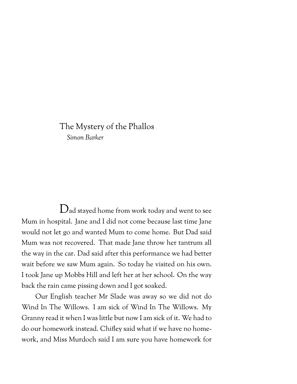### The Mystery of the Phallos *Simon Barker*

Dad stayed home from work today and went to see Mum in hospital. Jane and I did not come because last time Jane would not let go and wanted Mum to come home. But Dad said Mum was not recovered. That made Jane throw her tantrum all the way in the car. Dad said after this performance we had better wait before we saw Mum again. So today he visited on his own. I took Jane up Mobbs Hill and left her at her school. On the way back the rain came pissing down and I got soaked.

Our English teacher Mr Slade was away so we did not do Wind In The Willows. I am sick of Wind In The Willows. My Granny read it when I was little but now I am sick of it. We had to do our homework instead. Chifley said what if we have no homework, and Miss Murdoch said I am sure you have homework for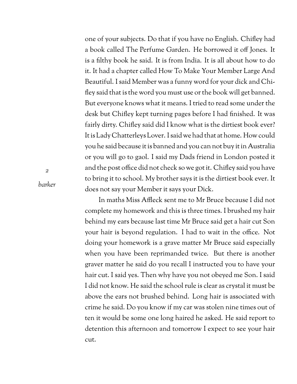one of your subjects. Do that if you have no English. Chifley had a book called The Perfume Garden. He borrowed it off Jones. It is a lthy book he said. It is from India. It is all about how to do it. It had a chapter called How To Make Your Member Large And Beautiful. I said Member was a funny word for your dick and Chi fley said that is the word you must use or the book will get banned. But everyone knows what it means. I tried to read some under the desk but Chifley kept turning pages before I had finished. It was fairly dirty. Chifley said did I know what is the dirtiest book ever? It is Lady Chatterleys Lover. I said we had that at home. How could you he said because it is banned and you can not buy it in Australia or you will go to gaol. I said my Dads friend in London posted it and the post office did not check so we got it. Chifley said you have to bring it to school. My brother says it is the dirtiest book ever. It does not say your Member it says your Dick.

In maths Miss Affleck sent me to Mr Bruce because I did not complete my homework and this is three times. I brushed my hair behind my ears because last time Mr Bruce said get a hair cut Son your hair is beyond regulation. I had to wait in the office. Not doing your homework is a grave matter Mr Bruce said especially when you have been reprimanded twice. But there is another graver matter he said do you recall I instructed you to have your hair cut. I said yes. Then why have you not obeyed me Son. I said I did not know. He said the school rule is clear as crystal it must be above the ears not brushed behind. Long hair is associated with crime he said. Do you know if my car was stolen nine times out of ten it would be some one long haired he asked. He said report to detention this afternoon and tomorrow I expect to see your hair cut.

*2*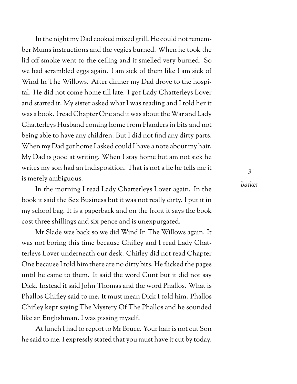In the night my Dad cooked mixed grill. He could not remember Mums instructions and the vegies burned. When he took the lid off smoke went to the ceiling and it smelled very burned. So we had scrambled eggs again. I am sick of them like I am sick of Wind In The Willows. After dinner my Dad drove to the hospital. He did not come home till late. I got Lady Chatterleys Lover and started it. My sister asked what I was reading and I told her it was a book. I read Chapter One and it was about theWar and Lady Chatterleys Husband coming home from Flanders in bits and not being able to have any children. But I did not find any dirty parts. When my Dad got home I asked could I have a note about my hair. My Dad is good at writing. When I stay home but am not sick he writes my son had an Indisposition. That is not a lie he tells me it is merely ambiguous.

In the morning I read Lady Chatterleys Lover again. In the book it said the Sex Business but it was not really dirty. I put it in my school bag. It is a paperback and on the front it says the book cost three shillings and six pence and is unexpurgated.

Mr Slade was back so we did Wind In The Willows again. It was not boring this time because Chifley and I read Lady Chatterleys Lover underneath our desk. Chifley did not read Chapter One because I told him there are no dirty bits. He flicked the pages until he came to them. It said the word Cunt but it did not say Dick. Instead it said John Thomas and the word Phallos. What is Phallos Chifley said to me. It must mean Dick I told him. Phallos Chi
ey kept saying The Mystery Of The Phallos and he sounded like an Englishman. I was pissing myself.

At lunch I had to report to Mr Bruce. Your hair is not cut Son he said to me. I expressly stated that you must have it cut by today.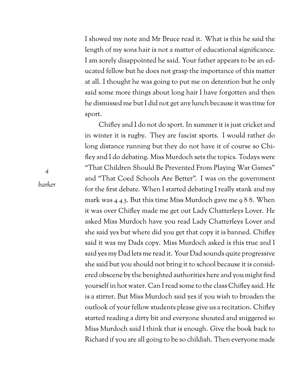I showed my note and Mr Bruce read it. What is this he said the length of my sons hair is not a matter of educational signi cance. I am sorely disappointed he said. Your father appears to be an educated fellow but he does not grasp the importance of this matter at all. I thought he was going to put me on detention but he only said some more things about long hair I have forgotten and then he dismissed me but I did not get any lunch because it was time for sport.

Chi
ey and I do not do sport. In summer it is just cricket and in winter it is rugby. They are fascist sports. I would rather do long distance running but they do not have it of course so Chi fley and I do debating. Miss Murdoch sets the topics. Todays were "That Children Should Be Prevented From Playing War Games" and "That Coed Schools Are Better". I was on the government for the first debate. When I started debating I really stank and my mark was 4 4 5. But this time Miss Murdoch gave me 9 8 8. When it was over Chifley made me get out Lady Chatterleys Lover. He asked Miss Murdoch have you read Lady Chatterleys Lover and she said yes but where did you get that copy it is banned. Chifley said it was my Dads copy. Miss Murdoch asked is this true and I said yes my Dad lets me read it. Your Dad sounds quite progressive she said but you should not bring it to school because it is considered obscene by the benighted authorities here and you might find yourself in hot water. Can I read some to the class Chifley said. He is a stirrer. But Miss Murdoch said yes if you wish to broaden the outlook of your fellow students please give us a recitation. Chi
ey started reading a dirty bit and everyone shouted and sniggered so Miss Murdoch said I think that is enough. Give the book back to Richard if you are all going to be so childish. Then everyone made

*4*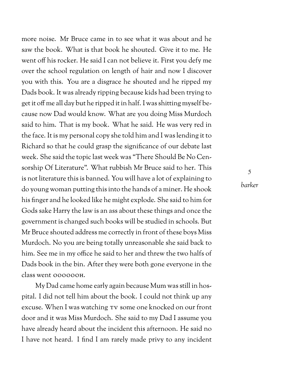more noise. Mr Bruce came in to see what it was about and he saw the book. What is that book he shouted. Give it to me. He went off his rocker. He said I can not believe it. First you defy me over the school regulation on length of hair and now I discover you with this. You are a disgrace he shouted and he ripped my Dads book. It was already ripping because kids had been trying to get it off me all day but he ripped it in half. I was shitting myself because now Dad would know. What are you doing Miss Murdoch said to him. That is my book. What he said. He was very red in the face. It is my personal copy she told him and I was lending it to Richard so that he could grasp the signi cance of our debate last week. She said the topic last week was "There Should Be No Censorship Of Literature". What rubbish Mr Bruce said to her. This is not literature this is banned. You will have a lot of explaining to do young woman putting this into the hands of a miner. He shook his nger and he looked like he might explode. She said to him for Gods sake Harry the law is an ass about these things and once the government is changed such books will be studied in schools. But Mr Bruce shouted address me correctly in front of these boys Miss Murdoch. No you are being totally unreasonable she said back to him. See me in my office he said to her and threw the two halfs of Dads book in the bin. After they were both gone everyone in the class went ooooooh.

My Dad came home early again because Mum was still in hospital. I did not tell him about the book. I could not think up any excuse. When I was watching TV some one knocked on our front door and it was Miss Murdoch. She said to my Dad I assume you have already heard about the incident this afternoon. He said no I have not heard. I find I am rarely made privy to any incident

*5*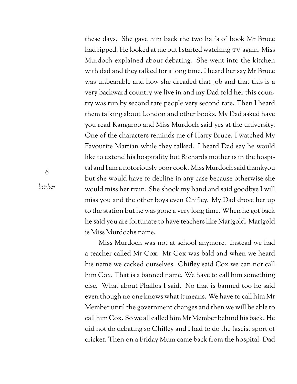these days. She gave him back the two halfs of book Mr Bruce had ripped. He looked at me but I started watching TV again. Miss Murdoch explained about debating. She went into the kitchen with dad and they talked for a long time. I heard her say Mr Bruce was unbearable and how she dreaded that job and that this is a very backward country we live in and my Dad told her this country was run by second rate people very second rate. Then I heard them talking about London and other books. My Dad asked have you read Kangaroo and Miss Murdoch said yes at the university. One of the characters reminds me of Harry Bruce. I watched My Favourite Martian while they talked. I heard Dad say he would like to extend his hospitality but Richards mother is in the hospital and I am a notoriously poor cook. Miss Murdoch said thankyou but she would have to decline in any case because otherwise she would miss her train. She shook my hand and said goodbye I will miss you and the other boys even Chifley. My Dad drove her up to the station but he was gone a very long time. When he got back he said you are fortunate to have teachers like Marigold. Marigold is Miss Murdochs name.

Miss Murdoch was not at school anymore. Instead we had a teacher called Mr Cox. Mr Cox was bald and when we heard his name we cacked ourselves. Chifley said Cox we can not call him Cox. That is a banned name. We have to call him something else. What about Phallos I said. No that is banned too he said even though no one knows what it means. We have to call him Mr Member until the government changes and then we will be able to call him Cox. So we all called himMrMember behind his back. He did not do debating so Chifley and I had to do the fascist sport of cricket. Then on a Friday Mum came back from the hospital. Dad

*6*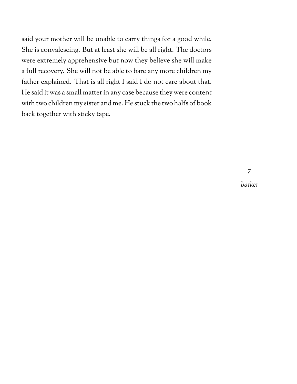said your mother will be unable to carry things for a good while. She is convalescing. But at least she will be all right. The doctors were extremely apprehensive but now they believe she will make a full recovery. She will not be able to bare any more children my father explained. That is all right I said I do not care about that. He said it was a small matter in any case because they were content with two children my sister and me. He stuck the two halfs of book back together with sticky tape.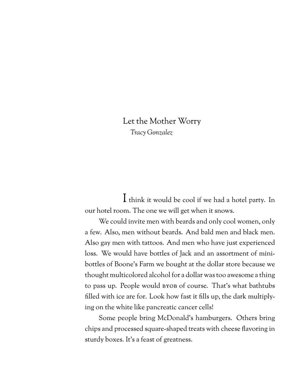## Let the Mother Worry *Tracy Gonzalez*

I think it would be cool if we had a hotel party. In our hotel room. The one we will get when it snows.

We could invite men with beards and only cool women, only a few. Also, men without beards. And bald men and black men. Also gay men with tattoos. And men who have just experienced loss. We would have bottles of Jack and an assortment of minibottles of Boone's Farm we bought at the dollar store because we thought multicolored alcohol for a dollar was too awesome a thing to pass up. People would byob of course. That's what bathtubs filled with ice are for. Look how fast it fills up, the dark multiplying on the white like pancreatic cancer cells!

Some people bring McDonald's hamburgers. Others bring chips and processed square-shaped treats with cheese flavoring in sturdy boxes. It's a feast of greatness.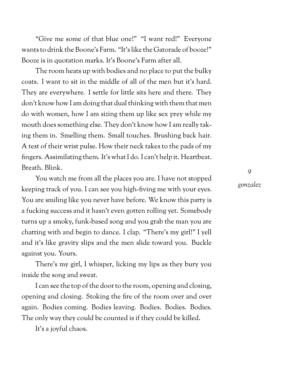"Give me some of that blue one!" "I want red!" Everyone wants to drink the Boone's Farm. "It's like the Gatorade of booze!" Booze is in quotation marks. It's Boone's Farm after all.

The room heats up with bodies and no place to put the bulky coats. I want to sit in the middle of all of the men but it's hard. They are everywhere. I settle for little sits here and there. They don't know how I am doing that dual thinking with them that men do with women, how I am sizing them up like sex prey while my mouth does something else. They don't know how I am really taking them in. Smelling them. Small touches. Brushing back hair. A test of their wrist pulse. How their neck takes to the pads of my ngers. Assimilating them. It's what I do. I can't help it. Heartbeat. Breath. Blink.

You watch me from all the places you are. I have not stopped keeping track of you. I can see you high-ving me with your eyes. You are smiling like you never have before. We know this party is a fucking success and it hasn't even gotten rolling yet. Somebody turns up a smoky, funk-based song and you grab the man you are chatting with and begin to dance. I clap. "There's my girl!" I yell and it's like gravity slips and the men slide toward you. Buckle against you. Yours.

There's my girl, I whisper, licking my lips as they bury you inside the song and sweat.

I can see the top of the door to the room, opening and closing, opening and closing. Stoking the fire of the room over and over again. Bodies coming. Bodies leaving. Bodies. Bodies. Bodies. The only way they could be counted is if they could be killed.

It's a joyful chaos.

*9*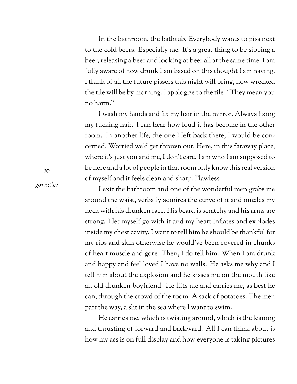In the bathroom, the bathtub. Everybody wants to piss next to the cold beers. Especially me. It's a great thing to be sipping a beer, releasing a beer and looking at beer all at the same time. I am fully aware of how drunk I am based on this thought I am having. I think of all the future pissers this night will bring, how wrecked the tile will be by morning. I apologize to the tile. "They mean you no harm."

I wash my hands and fix my hair in the mirror. Always fixing my fucking hair. I can hear how loud it has become in the other room. In another life, the one I left back there, I would be concerned. Worried we'd get thrown out. Here, in this faraway place, where it's just you and me, I don't care. I am who I am supposed to be here and a lot of people in that room only know this real version of myself and it feels clean and sharp. Flawless.

I exit the bathroom and one of the wonderful men grabs me around the waist, verbally admires the curve of it and nuzzles my neck with his drunken face. His beard is scratchy and his arms are strong. I let myself go with it and my heart inflates and explodes inside my chest cavity. I want to tell him he should be thankful for my ribs and skin otherwise he would've been covered in chunks of heart muscle and gore. Then, I do tell him. When I am drunk and happy and feel loved I have no walls. He asks me why and I tell him about the explosion and he kisses me on the mouth like an old drunken boyfriend. He lifts me and carries me, as best he can, through the crowd of the room. A sack of potatoes. The men part the way, a slit in the sea where I want to swim.

He carries me, which is twisting around, which is the leaning and thrusting of forward and backward. All I can think about is how my ass is on full display and how everyone is taking pictures

*10*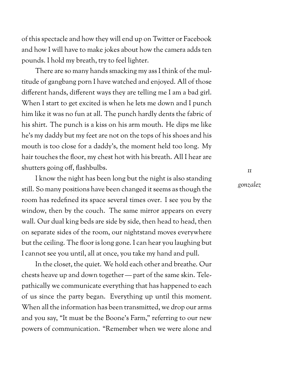of this spectacle and how they will end up on Twitter or Facebook and how I will have to make jokes about how the camera adds ten pounds. I hold my breath, try to feel lighter.

There are so many hands smacking my ass I think of the multitude of gangbang porn I have watched and enjoyed. All of those different hands, different ways they are telling me I am a bad girl. When I start to get excited is when he lets me down and I punch him like it was no fun at all. The punch hardly dents the fabric of his shirt. The punch is a kiss on his arm mouth. He dips me like he's my daddy but my feet are not on the tops of his shoes and his mouth is too close for a daddy's, the moment held too long. My hair touches the floor, my chest hot with his breath. All I hear are shutters going off, flashbulbs.

I know the night has been long but the night is also standing still. So many positions have been changed it seems as though the room has rede ned its space several times over. I see you by the window, then by the couch. The same mirror appears on every wall. Our dual king beds are side by side, then head to head, then on separate sides of the room, our nightstand moves everywhere but the ceiling. The floor is long gone. I can hear you laughing but I cannot see you until, all at once, you take my hand and pull.

In the closet, the quiet. We hold each other and breathe. Our chests heave up and down together— part of the same skin. Telepathically we communicate everything that has happened to each of us since the party began. Everything up until this moment. When all the information has been transmitted, we drop our arms and you say, "It must be the Boone's Farm," referring to our new powers of communication. "Remember when we were alone and *11*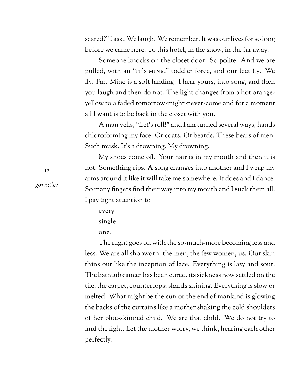scared?" I ask. We laugh. We remember. It was our lives for so long before we came here. To this hotel, in the snow, in the far away.

Someone knocks on the closet door. So polite. And we are pulled, with an "IT's MINE!" toddler force, and our feet fly. We fly. Far. Mine is a soft landing. I hear yours, into song, and then you laugh and then do not. The light changes from a hot orangeyellow to a faded tomorrow-might-never-come and for a moment all I want is to be back in the closet with you.

A man yells, "Let's roll!" and I am turned several ways, hands chloroforming my face. Or coats. Or beards. These bears of men. Such musk. It's a drowning. My drowning.

My shoes come off. Your hair is in my mouth and then it is not. Something rips. A song changes into another and I wrap my arms around it like it will take me somewhere. It does and I dance. So many fingers find their way into my mouth and I suck them all. I pay tight attention to

every

single

one.

The night goes on with the so-much-more becoming less and less. We are all shopworn: the men, the few women, us. Our skin thins out like the inception of lace. Everything is lazy and sour. The bathtub cancer has been cured, its sickness now settled on the tile, the carpet, countertops; shards shining. Everything is slow or melted. What might be the sun or the end of mankind is glowing the backs of the curtains like a mother shaking the cold shoulders of her blue-skinned child. We are that child. We do not try to nd the light. Let the mother worry, we think, hearing each other perfectly.

*12*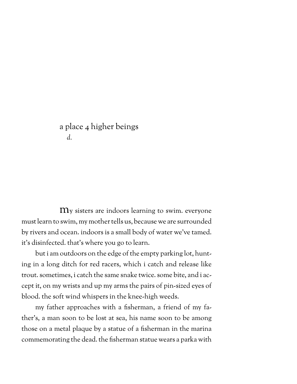# a place 4 higher beings *d.*

my sisters are indoors learning to swim. everyone must learn to swim, my mother tells us, because we are surrounded by rivers and ocean. indoors is a small body of water we've tamed. it's disinfected. that's where you go to learn.

but i am outdoors on the edge of the empty parking lot, hunting in a long ditch for red racers, which i catch and release like trout. sometimes, i catch the same snake twice. some bite, and i accept it, on my wrists and up my arms the pairs of pin-sized eyes of blood. the soft wind whispers in the knee-high weeds.

my father approaches with a fisherman, a friend of my father's, a man soon to be lost at sea, his name soon to be among those on a metal plaque by a statue of a fisherman in the marina commemorating the dead, the fisherman statue wears a parka with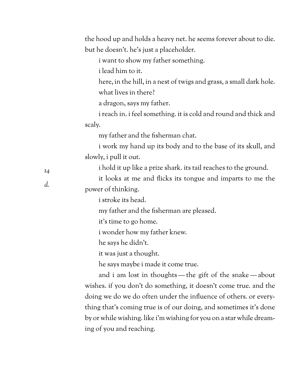|    | the hood up and holds a heavy net. he seems forever about to die.    |
|----|----------------------------------------------------------------------|
|    | but he doesn't. he's just a placeholder.                             |
|    | i want to show my father something.                                  |
|    | i lead him to it.                                                    |
|    | here, in the hill, in a nest of twigs and grass, a small dark hole.  |
|    | what lives in there?                                                 |
|    | a dragon, says my father.                                            |
|    | i reach in. i feel something. it is cold and round and thick and     |
|    | scaly.                                                               |
|    | my father and the fisherman chat.                                    |
|    | i work my hand up its body and to the base of its skull, and         |
|    | slowly, i pull it out.                                               |
| 14 | i hold it up like a prize shark. its tail reaches to the ground.     |
|    | it looks at me and flicks its tongue and imparts to me the           |
| d. | power of thinking.                                                   |
|    | i stroke its head.                                                   |
|    | my father and the fisherman are pleased.                             |
|    | it's time to go home.                                                |
|    | i wonder how my father knew.                                         |
|    | he says he didn't.                                                   |
|    | it was just a thought.                                               |
|    | he says maybe i made it come true.                                   |
|    | and i am lost in thoughts — the gift of the snake — about            |
|    | wishes. if you don't do something, it doesn't come true. and the     |
|    | doing we do we do often under the influence of others. or every-     |
|    | thing that's coming true is of our doing, and sometimes it's done    |
|    | by or while wishing. like i'm wishing for you on a star while dream- |
|    | ing of you and reaching.                                             |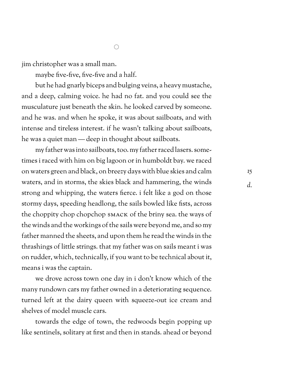jim christopher was a small man.

maybe five-five, five-five and a half.

but he had gnarly biceps and bulging veins, a heavy mustache, and a deep, calming voice. he had no fat. and you could see the musculature just beneath the skin. he looked carved by someone. and he was. and when he spoke, it was about sailboats, and with intense and tireless interest. if he wasn't talking about sailboats, he was a quiet man — deep in thought about sailboats.

my father was into sailboats, too. my father raced lasers. sometimes i raced with him on big lagoon or in humboldt bay. we raced on waters green and black, on breezy days with blue skies and calm waters, and in storms, the skies black and hammering, the winds strong and whipping, the waters fierce, i felt like a god on those stormy days, speeding headlong, the sails bowled like fists, across the choppity chop chopchop smack of the briny sea. the ways of the winds and the workings of the sails were beyond me, and so my father manned the sheets, and upon them he read the winds in the thrashings of little strings. that my father was on sails meant i was on rudder, which, technically, if you want to be technical about it, means i was the captain.

we drove across town one day in i don't know which of the many rundown cars my father owned in a deteriorating sequence. turned left at the dairy queen with squeeze-out ice cream and shelves of model muscle cars.

towards the edge of town, the redwoods begin popping up like sentinels, solitary at first and then in stands, ahead or beyond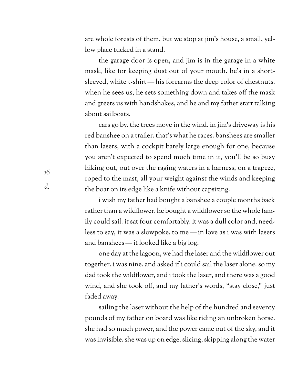are whole forests of them. but we stop at jim's house, a small, yellow place tucked in a stand.

the garage door is open, and jim is in the garage in a white mask, like for keeping dust out of your mouth. he's in a shortsleeved, white t-shirt— his forearms the deep color of chestnuts. when he sees us, he sets something down and takes off the mask and greets us with handshakes, and he and my father start talking about sailboats.

cars go by. the trees move in the wind. in jim's driveway is his red banshee on a trailer. that's what he races. banshees are smaller than lasers, with a cockpit barely large enough for one, because you aren't expected to spend much time in it, you'll be so busy hiking out, out over the raging waters in a harness, on a trapeze, roped to the mast, all your weight against the winds and keeping the boat on its edge like a knife without capsizing.

i wish my father had bought a banshee a couple months back rather than a wildflower, he bought a wildflower so the whole family could sail. it sat four comfortably. it was a dull color and, needless to say, it was a slowpoke. to me — in love as i was with lasers and banshees — it looked like a big log.

one day at the lagoon, we had the laser and the wild
ower out together. i was nine. and asked if i could sail the laser alone. so my dad took the wild
ower, and i took the laser, and there was a good wind, and she took off, and my father's words, "stay close," just faded away.

sailing the laser without the help of the hundred and seventy pounds of my father on board was like riding an unbroken horse. she had so much power, and the power came out of the sky, and it was invisible. she was up on edge, slicing, skipping along the water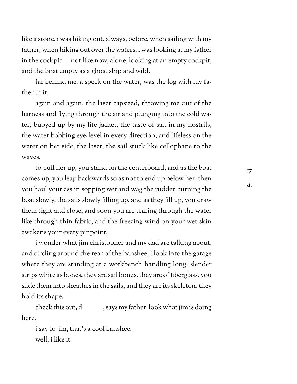like a stone. i was hiking out. always, before, when sailing with my father, when hiking out over the waters, i was looking at my father in the cockpit — not like now, alone, looking at an empty cockpit, and the boat empty as a ghost ship and wild.

far behind me, a speck on the water, was the log with my father in it.

again and again, the laser capsized, throwing me out of the harness and flying through the air and plunging into the cold water, buoyed up by my life jacket, the taste of salt in my nostrils, the water bobbing eye-level in every direction, and lifeless on the water on her side, the laser, the sail stuck like cellophane to the waves.

to pull her up, you stand on the centerboard, and as the boat comes up, you leap backwards so as not to end up below her. then you haul your ass in sopping wet and wag the rudder, turning the boat slowly, the sails slowly lling up. and as they ll up, you draw them tight and close, and soon you are tearing through the water like through thin fabric, and the freezing wind on your wet skin awakens your every pinpoint.

i wonder what jim christopher and my dad are talking about, and circling around the rear of the banshee, i look into the garage where they are standing at a workbench handling long, slender strips white as bones. they are sail bones. they are of berglass. you slide them into sheathes in the sails, and they are its skeleton. they hold its shape.

check this out,  $d$   $\longrightarrow$ , says my father. look what jim is doing here.

i say to jim, that's a cool banshee. well, i like it.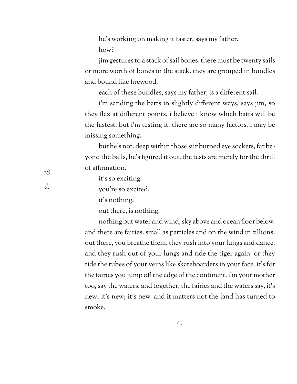he's working on making it faster, says my father. how?

jim gestures to a stack of sail bones. there must be twenty sails or more worth of bones in the stack. they are grouped in bundles and bound like firewood.

each of these bundles, says my father, is a different sail.

i'm sanding the batts in slightly different ways, says jim, so they flex at different points, i believe i know which batts will be the fastest. but i'm testing it. there are so many factors. i may be missing something.

but he's not. deep within those sunburned eye sockets, far beyond the balls, he's gured it out. the tests are merely for the thrill of armation.

it's so exciting.

you're so excited.

it's nothing.

out there, is nothing.

nothing but water and wind, sky above and ocean floor below. and there are fairies. small as particles and on the wind in zillions. out there, you breathe them. they rush into your lungs and dance. and they rush out of your lungs and ride the tiger again. or they ride the tubes of your veins like skateboarders in your face. it's for the fairies you jump off the edge of the continent. i'm your mother too, say the waters. and together, the fairies and the waters say, it's new; it's new; it's new. and it matters not the land has turned to smoke.

*18*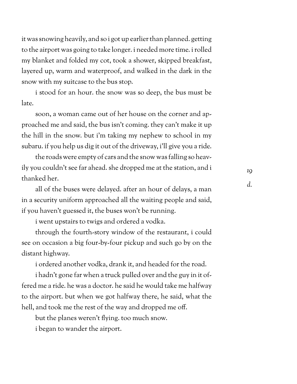it was snowing heavily, and so i got up earlier than planned. getting to the airport was going to take longer. i needed more time. i rolled my blanket and folded my cot, took a shower, skipped breakfast, layered up, warm and waterproof, and walked in the dark in the snow with my suitcase to the bus stop.

i stood for an hour. the snow was so deep, the bus must be late.

soon, a woman came out of her house on the corner and approached me and said, the bus isn't coming. they can't make it up the hill in the snow. but i'm taking my nephew to school in my subaru. if you help us dig it out of the driveway, i'll give you a ride.

the roads were empty of cars and the snow was falling so heavily you couldn't see far ahead. she dropped me at the station, and i thanked her.

all of the buses were delayed. after an hour of delays, a man in a security uniform approached all the waiting people and said, if you haven't guessed it, the buses won't be running.

i went upstairs to twigs and ordered a vodka.

through the fourth-story window of the restaurant, i could see on occasion a big four-by-four pickup and such go by on the distant highway.

i ordered another vodka, drank it, and headed for the road.

i hadn't gone far when a truck pulled over and the guy in it offered me a ride. he was a doctor. he said he would take me halfway to the airport. but when we got halfway there, he said, what the hell, and took me the rest of the way and dropped me off.

but the planes weren't flying. too much snow.

i began to wander the airport.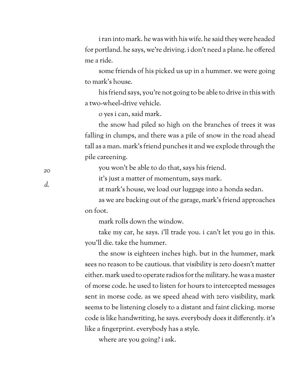i ran into mark. he was with his wife. he said they were headed for portland. he says, we're driving. i don't need a plane. he offered me a ride.

some friends of his picked us up in a hummer. we were going to mark's house.

his friend says, you're not going to be able to drive in this with a two-wheel-drive vehicle.

o yes i can, said mark.

the snow had piled so high on the branches of trees it was falling in clumps, and there was a pile of snow in the road ahead tall as a man. mark's friend punches it and we explode through the pile careening.

you won't be able to do that, says his friend.

it's just a matter of momentum, says mark.

at mark's house, we load our luggage into a honda sedan.

as we are backing out of the garage, mark's friend approaches on foot.

mark rolls down the window.

take my car, he says. i'll trade you. i can't let you go in this. you'll die. take the hummer.

the snow is eighteen inches high. but in the hummer, mark sees no reason to be cautious. that visibility is zero doesn't matter either. mark used to operate radios for the military. he was a master of morse code. he used to listen for hours to intercepted messages sent in morse code. as we speed ahead with zero visibility, mark seems to be listening closely to a distant and faint clicking. morse code is like handwriting, he says. everybody does it differently. it's like a ngerprint. everybody has a style.

where are you going? i ask.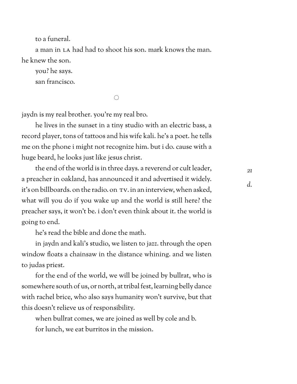to a funeral.

a man in la had had to shoot his son. mark knows the man. he knew the son.

you? he says.

san francisco.

 $\bigcap$ 

jaydn is my real brother. you're my real bro.

he lives in the sunset in a tiny studio with an electric bass, a record player, tons of tattoos and his wife kali. he's a poet. he tells me on the phone i might not recognize him. but i do. cause with a huge beard, he looks just like jesus christ.

the end of the world is in three days. a reverend or cult leader, a preacher in oakland, has announced it and advertised it widely. it's on billboards. on the radio. on TV. in an interview, when asked, what will you do if you wake up and the world is still here? the preacher says, it won't be. i don't even think about it. the world is going to end.

he's read the bible and done the math.

in jaydn and kali's studio, we listen to jazz. through the open window floats a chainsaw in the distance whining, and we listen to judas priest.

for the end of the world, we will be joined by bullrat, who is somewhere south of us, or north, at tribal fest, learning belly dance with rachel brice, who also says humanity won't survive, but that this doesn't relieve us of responsibility.

when bullrat comes, we are joined as well by cole and b. for lunch, we eat burritos in the mission.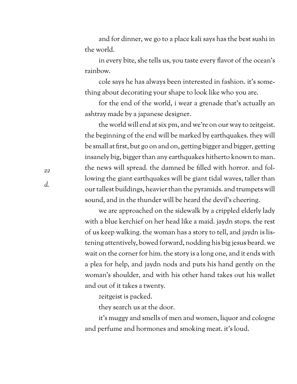and for dinner, we go to a place kali says has the best sushi in the world.

in every bite, she tells us, you taste every flavor of the ocean's rainbow.

cole says he has always been interested in fashion. it's something about decorating your shape to look like who you are.

for the end of the world, i wear a grenade that's actually an ashtray made by a japanese designer.

the world will end at six pm, and we're on our way to zeitgeist. the beginning of the end will be marked by earthquakes. they will be small at first, but go on and on, getting bigger and bigger, getting insanely big, bigger than any earthquakes hitherto known to man. the news will spread, the damned be filled with horror, and following the giant earthquakes will be giant tidal waves, taller than our tallest buildings, heavier than the pyramids. and trumpets will sound, and in the thunder will be heard the devil's cheering.

we are approached on the sidewalk by a crippled elderly lady with a blue kerchief on her head like a maid. jaydn stops. the rest of us keep walking. the woman has a story to tell, and jaydn is listening attentively, bowed forward, nodding his big jesus beard. we wait on the corner for him. the story is a long one, and it ends with a plea for help, and jaydn nods and puts his hand gently on the woman's shoulder, and with his other hand takes out his wallet and out of it takes a twenty.

zeitgeist is packed.

they search us at the door.

it's muggy and smells of men and women, liquor and cologne and perfume and hormones and smoking meat. it's loud.

*22*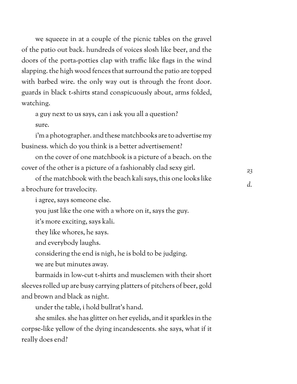we squeeze in at a couple of the picnic tables on the gravel of the patio out back. hundreds of voices slosh like beer, and the doors of the porta-potties clap with traffic like flags in the wind slapping. the high wood fences that surround the patio are topped with barbed wire. the only way out is through the front door. guards in black t-shirts stand conspicuously about, arms folded, watching.

a guy next to us says, can i ask you all a question? sure.

i'm a photographer. and these matchbooks are to advertise my business. which do you think is a better advertisement?

on the cover of one matchbook is a picture of a beach. on the cover of the other is a picture of a fashionably clad sexy girl.

*23 d.*

of the matchbook with the beach kali says, this one looks like a brochure for travelocity.

i agree, says someone else.

you just like the one with a whore on it, says the guy.

it's more exciting, says kali.

they like whores, he says.

and everybody laughs.

considering the end is nigh, he is bold to be judging.

we are but minutes away.

barmaids in low-cut t-shirts and musclemen with their short sleeves rolled up are busy carrying platters of pitchers of beer, gold and brown and black as night.

under the table, i hold bullrat's hand.

she smiles. she has glitter on her eyelids, and it sparkles in the corpse-like yellow of the dying incandescents. she says, what if it really does end?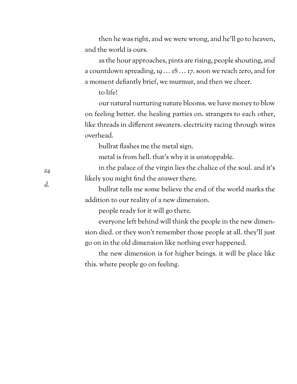|          | then he was right, and we were wrong, and he'll go to heaven,                |
|----------|------------------------------------------------------------------------------|
| 24<br>d. | and the world is ours.                                                       |
|          | as the hour approaches, pints are rising, people shouting, and               |
|          | a countdown spreading, 19 $\dots$ 18 $\dots$ 17. soon we reach zero, and for |
|          | a moment defiantly brief, we murmur, and then we cheer.                      |
|          | to life!                                                                     |
|          | our natural nurturing nature blooms. we have money to blow                   |
|          | on feeling better. the healing parties on. strangers to each other,          |
|          | like threads in different sweaters. electricity racing through wires         |
|          | overhead.                                                                    |
|          | bullrat flashes me the metal sign.                                           |
|          | metal is from hell. that's why it is unstoppable.                            |
|          | in the palace of the virgin lies the chalice of the soul. and it's           |
|          | likely you might find the answer there.                                      |
|          | bullrat tells me some believe the end of the world marks the                 |
|          | addition to our reality of a new dimension.                                  |
|          | people ready for it will go there.                                           |
|          | everyone left behind will think the people in the new dimen-                 |
|          | sion died. or they won't remember those people at all. they'll just          |
|          | go on in the old dimension like nothing ever happened.                       |
|          | the new dimension is for higher beings. it will be place like                |
|          | this. where people go on feeling.                                            |
|          |                                                                              |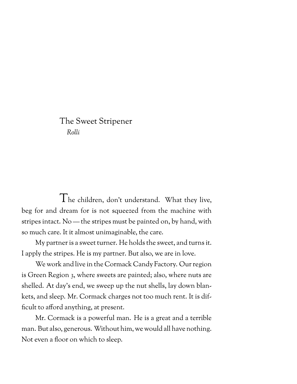# The Sweet Stripener *Rolli*

The children, don't understand. What they live, beg for and dream for is not squeezed from the machine with stripes intact. No — the stripes must be painted on, by hand, with so much care. It it almost unimaginable, the care.

My partner is a sweet turner. He holds the sweet, and turns it. I apply the stripes. He is my partner. But also, we are in love.

We work and live in the Cormack Candy Factory. Our region is Green Region 3, where sweets are painted; also, where nuts are shelled. At day's end, we sweep up the nut shells, lay down blankets, and sleep. Mr. Cormack charges not too much rent. It is dif ficult to afford anything, at present.

Mr. Cormack is a powerful man. He is a great and a terrible man. But also, generous. Without him, we would all have nothing. Not even a floor on which to sleep.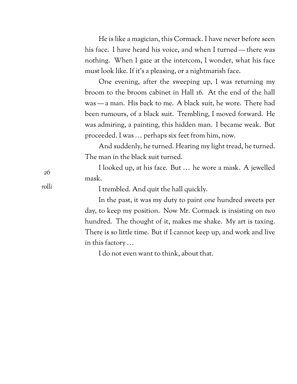He is like a magician, this Cormack. I have never before seen his face. I have heard his voice, and when I turned— there was nothing. When I gaze at the intercom, I wonder, what his face must look like. If it's a pleasing, or a nightmarish face.

One evening, after the sweeping up, I was returning my broom to the broom cabinet in Hall 16. At the end of the hall was — a man. His back to me. A black suit, he wore. There had been rumours, of a black suit. Trembling, I moved forward. He was admiring, a painting, this hidden man. I became weak. But proceeded. I was ... perhaps six feet from him, now.

And suddenly, he turned. Hearing my light tread, he turned. The man in the black suit turned.

I looked up, at his face. But ... he wore a mask. A jewelled mask.

I trembled. And quit the hall quickly.

In the past, it was my duty to paint one hundred sweets per day, to keep my position. Now Mr. Cormack is insisting on *two* hundred. The thought of it, makes me shake. My art is taxing. There is so little time. But if I cannot keep up, and work and live in this factory ...

I do not even want to think, about that.

*26*

*rolli*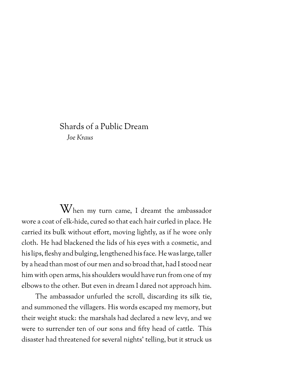### Shards of a Public Dream *Joe Kraus*

When my turn came, I dreamt the ambassador wore a coat of elk-hide, cured so that each hair curled in place. He carried its bulk without effort, moving lightly, as if he wore only cloth. He had blackened the lids of his eyes with a cosmetic, and his lips, fleshy and bulging, lengthened his face. He was large, taller by a head than most of our men and so broad that, had I stood near him with open arms, his shoulders would have run from one of my elbows to the other. But even in dream I dared not approach him.

The ambassador unfurled the scroll, discarding its silk tie, and summoned the villagers. His words escaped my memory, but their weight stuck: the marshals had declared a new levy, and we were to surrender ten of our sons and fifty head of cattle. This disaster had threatened for several nights' telling, but it struck us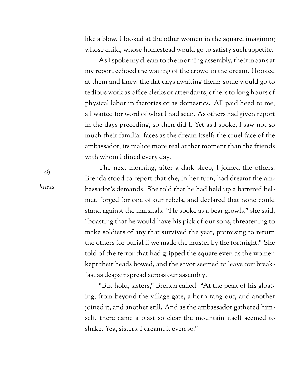like a blow. I looked at the other women in the square, imagining whose child, whose homestead would go to satisfy such appetite.

As I spoke my dream to the morning assembly, their moans at my report echoed the wailing of the crowd in the dream. I looked at them and knew the 
at days awaiting them: some would go to tedious work as office clerks or attendants, others to long hours of physical labor in factories or as domestics. All paid heed to me; all waited for word of what I had seen. As others had given report in the days preceding, so then did I. Yet as I spoke, I saw not so much their familiar faces as the dream itself: the cruel face of the ambassador, its malice more real at that moment than the friends with whom I dined every day.

The next morning, after a dark sleep, I joined the others. Brenda stood to report that she, in her turn, had dreamt the ambassador's demands. She told that he had held up a battered helmet, forged for one of our rebels, and declared that none could stand against the marshals. "He spoke as a bear growls," she said, "boasting that he would have his pick of our sons, threatening to make soldiers of any that survived the year, promising to return the others for burial if we made the muster by the fortnight." She told of the terror that had gripped the square even as the women kept their heads bowed, and the savor seemed to leave our breakfast as despair spread across our assembly.

"But hold, sisters," Brenda called. "At the peak of his gloating, from beyond the village gate, a horn rang out, and another joined it, and another still. And as the ambassador gathered himself, there came a blast so clear the mountain itself seemed to shake. Yea, sisters, I dreamt it even so."

*28*

*kraus*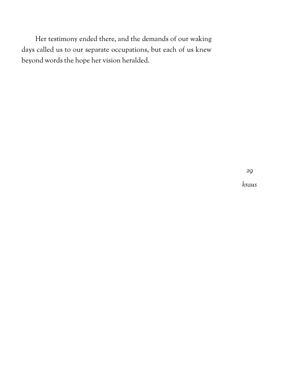Her testimony ended there, and the demands of our waking days called us to our separate occupations, but each of us knew beyond words the hope her vision heralded.

*29*

*kraus*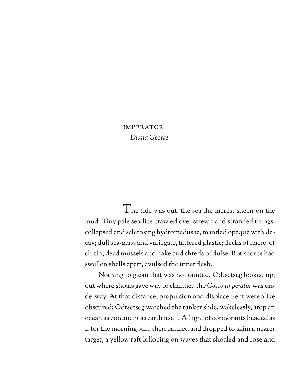### imperator *Diana George*

 $\mathcal T_\text{he}$  tide was out, the sea the merest sheen on the mud. Tiny pale sea-lice crawled over strewn and stranded things: collapsed and sclerosing hydromedusae, mantled opaque with decay; dull sea-glass and variegate, tattered plastic; flecks of nacre, of chitin; dead mussels and hake and shreds of dulse. Rot's force had swollen shells apart, avulsed the inner flesh.

Nothing to glean that was not tainted. Odtsetseg looked up; out where shoals gave way to channel, the *Cosco Imperator* was underway. At that distance, propulsion and displacement were alike obscured; Odtsetseg watched the tanker slide, wakelessly, atop an ocean as continent as earth itself. A 
ight of cormorants headed as if for the morning sun, then banked and dropped to skim a nearer target, a yellow raft lolloping on waves that shoaled and rose and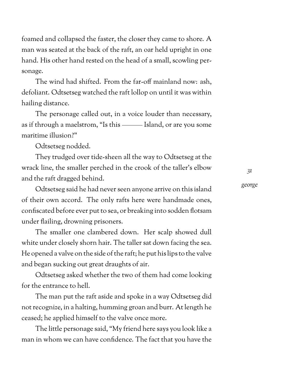foamed and collapsed the faster, the closer they came to shore. A man was seated at the back of the raft, an oar held upright in one hand. His other hand rested on the head of a small, scowling personage.

The wind had shifted. From the far-off mainland now: ash, defoliant. Odtsetseg watched the raft lollop on until it was within hailing distance.

The personage called out, in a voice louder than necessary, as if through a maelstrom, "Is this - Island, or are you some maritime illusion?"

Odtsetseg nodded.

They trudged over tide-sheen all the way to Odtsetseg at the wrack line, the smaller perched in the crook of the taller's elbow and the raft dragged behind.

Odtsetseg said he had never seen anyone arrive on this island of their own accord. The only rafts here were handmade ones, confiscated before ever put to sea, or breaking into sodden flotsam under flailing, drowning prisoners.

The smaller one clambered down. Her scalp showed dull white under closely shorn hair. The taller sat down facing the sea. He opened a valve on the side of the raft; he put his lips to the valve and began sucking out great draughts of air.

Odtsetseg asked whether the two of them had come looking for the entrance to hell.

The man put the raft aside and spoke in a way Odtsetseg did not recognize, in a halting, humming groan and burr. At length he ceased; he applied himself to the valve once more.

The little personage said, "My friend here says you look like a man in whom we can have con dence. The fact that you have the

*31 george*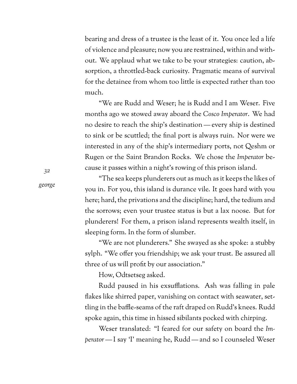bearing and dress of a trustee is the least of it. You once led a life of violence and pleasure; now you are restrained, within and without. We applaud what we take to be your strategies: caution, absorption, a throttled-back curiosity. Pragmatic means of survival for the detainee from whom too little is expected rather than too much.

"We are Rudd and Weser; he is Rudd and I am Weser. Five months ago we stowed away aboard the *Cosco Imperator*. We had no desire to reach the ship's destination— every ship is destined to sink or be scuttled: the final port is always ruin. Nor were we interested in any of the ship's intermediary ports, not Qeshm or Rugen or the Saint Brandon Rocks. We chose the *Imperator* because it passes within a night's rowing of this prison island.

"The sea keeps plunderers out as much as it keeps the likes of you in. For you, this island is durance vile. It goes hard with you here; hard, the privations and the discipline; hard, the tedium and the sorrows; even your trustee status is but a lax noose. But for plunderers! For them, a prison island represents wealth itself, in sleeping form. In the form of slumber.

"We are not plunderers." She swayed as she spoke: a stubby sylph. "We offer you friendship; we ask your trust. Be assured all three of us will profit by our association."

How, Odtsetseg asked.

Rudd paused in his exsufflations. Ash was falling in pale flakes like shirred paper, vanishing on contact with seawater, settling in the baffle-seams of the raft draped on Rudd's knees. Rudd spoke again, this time in hissed sibilants pocked with chirping.

Weser translated: "I feared for our safety on board the *Imperator* — I say 'I' meaning he, Rudd— and so I counseled Weser

*32*

*george*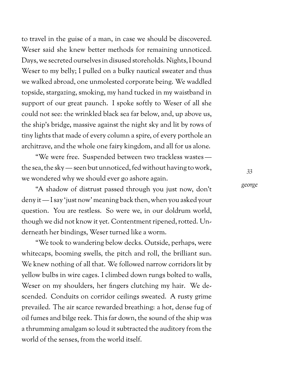to travel in the guise of a man, in case we should be discovered. Weser said she knew better methods for remaining unnoticed. Days, we secreted ourselves in disused storeholds. Nights, I bound Weser to my belly; I pulled on a bulky nautical sweater and thus we walked abroad, one unmolested corporate being. We waddled topside, stargazing, smoking, my hand tucked in my waistband in support of our great paunch. I spoke softly to Weser of all she could not see: the wrinkled black sea far below, and, up above us, the ship's bridge, massive against the night sky and lit by rows of tiny lights that made of every column a spire, of every porthole an architrave, and the whole one fairy kingdom, and all for us alone.

"We were free. Suspended between two trackless wastes the sea, the sky— seen but unnoticed, fed without having to work, we wondered why we should ever go ashore again.

"A shadow of distrust passed through you just now, don't deny it — I say 'just now' meaning back then, when you asked your question. You are restless. So were we, in our doldrum world, though we did not know it yet. Contentment ripened, rotted. Underneath her bindings, Weser turned like a worm.

"We took to wandering below decks. Outside, perhaps, were whitecaps, booming swells, the pitch and roll, the brilliant sun. We knew nothing of all that. We followed narrow corridors lit by yellow bulbs in wire cages. I climbed down rungs bolted to walls, Weser on my shoulders, her fingers clutching my hair. We descended. Conduits on corridor ceilings sweated. A rusty grime prevailed. The air scarce rewarded breathing: a hot, dense fug of oil fumes and bilge reek. This far down, the sound of the ship was a thrumming amalgam so loud it subtracted the auditory from the world of the senses, from the world itself.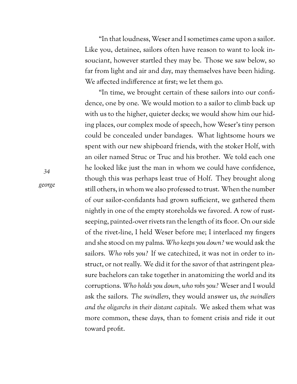"In that loudness, Weser and I sometimes came upon a sailor. Like you, detainee, sailors often have reason to want to look insouciant, however startled they may be. Those we saw below, so far from light and air and day, may themselves have been hiding. We affected indifference at first; we let them go.

"In time, we brought certain of these sailors into our con dence, one by one. We would motion to a sailor to climb back up with us to the higher, quieter decks; we would show him our hiding places, our complex mode of speech, how Weser's tiny person could be concealed under bandages. What lightsome hours we spent with our new shipboard friends, with the stoker Holf, with an oiler named Struc or Truc and his brother. We told each one he looked like just the man in whom we could have con dence, though this was perhaps least true of Holf. They brought along still others, in whom we also professed to trust. When the number of our sailor-confidants had grown sufficient, we gathered them nightly in one of the empty storeholds we favored. A row of rustseeping, painted-over rivets ran the length of its floor. On our side of the rivet-line, I held Weser before me; I interlaced my ngers and she stood on my palms. *Who keeps you down?* we would ask the sailors. *Who robs you?* If we catechized, it was not in order to instruct, or not really. We did it for the savor of that astringent pleasure bachelors can take together in anatomizing the world and its corruptions. *Who holds you down, who robs you?* Weser and I would ask the sailors. *The swindlers*, they would answer us, *the swindlers and the oligarchs in their distant capitals.* We asked them what was more common, these days, than to foment crisis and ride it out toward pro t.

*34*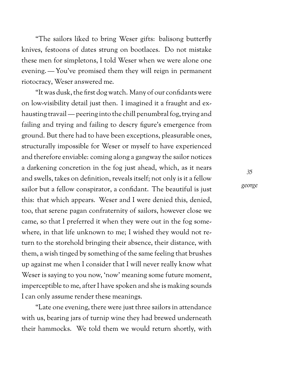"The sailors liked to bring Weser gifts: balisong butterfly knives, festoons of dates strung on bootlaces. Do not mistake these men for simpletons, I told Weser when we were alone one evening. — You've promised them they will reign in permanent riotocracy, Weser answered me.

"It was dusk, the first dog watch. Many of our confidants were on low-visibility detail just then. I imagined it a fraught and exhausting travail— peering into the chill penumbral fog, trying and failing and trying and failing to descry figure's emergence from ground. But there had to have been exceptions, pleasurable ones, structurally impossible for Weser or myself to have experienced and therefore enviable: coming along a gangway the sailor notices a darkening concretion in the fog just ahead, which, as it nears and swells, takes on definition, reveals itself; not only is it a fellow sailor but a fellow conspirator, a con dant. The beautiful is just this: that which appears. Weser and I were denied this, denied, too, that serene pagan confraternity of sailors, however close we came, so that I preferred it when they were out in the fog somewhere, in that life unknown to me; I wished they would not return to the storehold bringing their absence, their distance, with them, a wish tinged by something of the same feeling that brushes up against me when I consider that I will never really know what Weser is saying to you now, 'now' meaning some future moment, imperceptible to me, after I have spoken and she is making sounds I can only assume render these meanings.

"Late one evening, there were just three sailors in attendance with us, bearing jars of turnip wine they had brewed underneath their hammocks. We told them we would return shortly, with *35*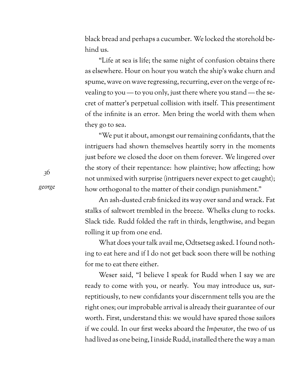black bread and perhaps a cucumber. We locked the storehold behind us.

"Life at sea is life; the same night of confusion obtains there as elsewhere. Hour on hour you watch the ship's wake churn and spume, wave on wave regressing, recurring, ever on the verge of revealing to you — to you only, just there where you stand— the secret of matter's perpetual collision with itself. This presentiment of the in nite is an error. Men bring the world with them when they go to sea.

"We put it about, amongst our remaining con dants, that the intriguers had shown themselves heartily sorry in the moments just before we closed the door on them forever. We lingered over the story of their repentance: how plaintive; how affecting; how not unmixed with surprise (intriguers never expect to get caught); how orthogonal to the matter of their condign punishment."

An ash-dusted crab finicked its way over sand and wrack. Fat stalks of saltwort trembled in the breeze. Whelks clung to rocks. Slack tide. Rudd folded the raft in thirds, lengthwise, and began rolling it up from one end.

What does your talk avail me, Odtsetseg asked. I found nothing to eat here and if I do not get back soon there will be nothing for me to eat there either.

Weser said, "I believe I speak for Rudd when I say we are ready to come with you, or nearly. You may introduce us, surreptitiously, to new con dants your discernment tells you are the right ones; our improbable arrival is already their guarantee of our worth. First, understand this: we would have spared those sailors if we could. In our first weeks aboard the *Imperator*, the two of us had lived as one being, I inside Rudd, installed there the way a man

*36*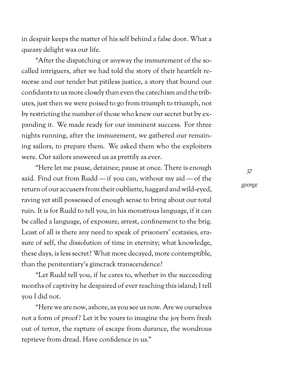in despair keeps the matter of his self behind a false door. What a queasy delight was our life.

"After the dispatching or anyway the immurement of the socalled intriguers, after we had told the story of their heartfelt remorse and our tender but pitiless justice, a story that bound our con dants to us more closely than even the catechism and the tributes, just then we were poised to go from triumph to triumph, not by restricting the number of those who knew our secret but by expanding it. We made ready for our imminent success. For three nights running, after the immurement, we gathered our remaining sailors, to prepare them. We asked them who the exploiters were. Our sailors answered us as prettily as ever.

"Here let me pause, detainee; pause at once. There is enough said. Find out from Rudd — if you can, without my aid — of the return of our accusers from their oubliette, haggard and wild-eyed, raving yet still possessed of enough sense to bring about our total ruin. It is for Rudd to tell you, in his monstrous language, if it can be called a language, of exposure, arrest, con nement to the brig. Least of all is there any need to speak of prisoners' ecstasies, erasure of self, the dissolution of time in eternity; what knowledge, these days, is less secret? What more decayed, more contemptible, than the penitentiary's gimcrack transcendence?

"Let Rudd tell you, if he cares to, whether in the succeeding months of captivity he despaired of ever reaching this island; I tell you I did not.

"Here we are now, ashore, as you see us now. Are we ourselves not a form of proof? Let it be yours to imagine the joy born fresh out of terror, the rapture of escape from durance, the wondrous reprieve from dread. Have con dence in us."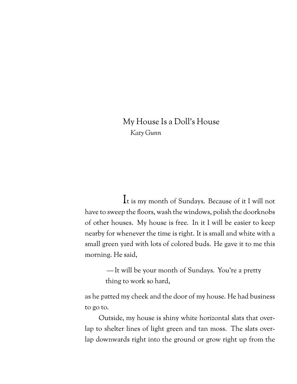## My House Is a Doll's House *Katy Gunn*

It is my month of Sundays. Because of it I will not have to sweep the floors, wash the windows, polish the doorknobs of other houses. My house is free. In it I will be easier to keep nearby for whenever the time is right. It is small and white with a small green yard with lots of colored buds. He gave it to me this morning. He said,

> — It will be your month of Sundays. You're a pretty thing to work so hard,

as he patted my cheek and the door of my house. He had business to go to.

Outside, my house is shiny white horizontal slats that overlap to shelter lines of light green and tan moss. The slats overlap downwards right into the ground or grow right up from the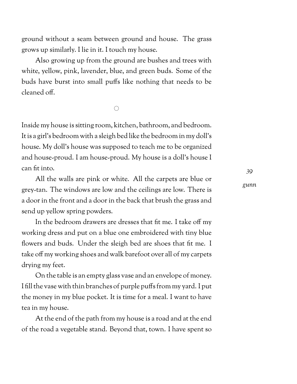ground without a seam between ground and house. The grass grows up similarly. I lie in it. I touch my house.

Also growing up from the ground are bushes and trees with white, yellow, pink, lavender, blue, and green buds. Some of the buds have burst into small puffs like nothing that needs to be cleaned off.

 $\bigcap$ 

Inside my house is sitting room, kitchen, bathroom, and bedroom. It is a girl's bedroom with a sleigh bed like the bedroom in my doll's house. My doll's house was supposed to teach me to be organized and house-proud. I am house-proud. My house is a doll's house I can fit into.

All the walls are pink or white. All the carpets are blue or grey-tan. The windows are low and the ceilings are low. There is a door in the front and a door in the back that brush the grass and send up yellow spring powders.

In the bedroom drawers are dresses that fit me. I take off my working dress and put on a blue one embroidered with tiny blue flowers and buds. Under the sleigh bed are shoes that fit me. I take off my working shoes and walk barefoot over all of my carpets drying my feet.

On the table is an empty glass vase and an envelope of money. I ll the vase with thin branches of purple pus from my yard. I put the money in my blue pocket. It is time for a meal. I want to have tea in my house.

At the end of the path from my house is a road and at the end of the road a vegetable stand. Beyond that, town. I have spent so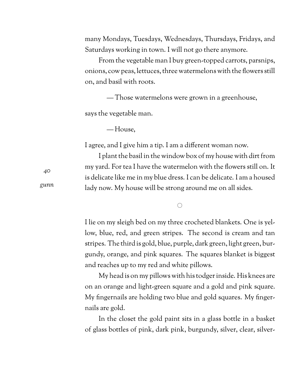many Mondays, Tuesdays, Wednesdays, Thursdays, Fridays, and Saturdays working in town. I will not go there anymore.

From the vegetable man I buy green-topped carrots, parsnips, onions, cow peas, lettuces, three watermelons with the flowers still on, and basil with roots.

— Those watermelons were grown in a greenhouse,

says the vegetable man.

— House,

I agree, and I give him a tip. I am a different woman now.

I plant the basil in the window box of my house with dirt from my yard. For tea I have the watermelon with the flowers still on. It is delicate like me in my blue dress. I can be delicate. I am a housed lady now. My house will be strong around me on all sides.

 $\bigcap$ 

I lie on my sleigh bed on my three crocheted blankets. One is yellow, blue, red, and green stripes. The second is cream and tan stripes. The third is gold, blue, purple, dark green, light green, burgundy, orange, and pink squares. The squares blanket is biggest and reaches up to my red and white pillows.

My head is on my pillows with his todger inside. His knees are on an orange and light-green square and a gold and pink square. My ngernails are holding two blue and gold squares. My ngernails are gold.

In the closet the gold paint sits in a glass bottle in a basket of glass bottles of pink, dark pink, burgundy, silver, clear, silver-

*40*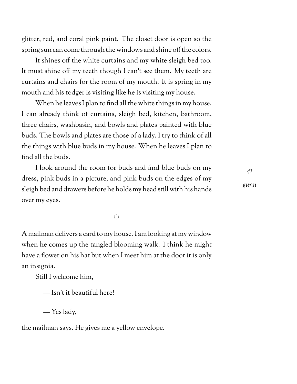glitter, red, and coral pink paint. The closet door is open so the spring sun can come through the windows and shine off the colors.

It shines off the white curtains and my white sleigh bed too. It must shine off my teeth though I can't see them. My teeth are curtains and chairs for the room of my mouth. It is spring in my mouth and his todger is visiting like he is visiting my house.

When he leaves I plan to find all the white things in my house. I can already think of curtains, sleigh bed, kitchen, bathroom, three chairs, washbasin, and bowls and plates painted with blue buds. The bowls and plates are those of a lady. I try to think of all the things with blue buds in my house. When he leaves I plan to find all the buds.

I look around the room for buds and find blue buds on my dress, pink buds in a picture, and pink buds on the edges of my sleigh bed and drawers before he holds my head still with his hands over my eyes.

*41*

## *gunn*

 $\circ$ 

A mailman delivers a card to my house. I am looking at my window when he comes up the tangled blooming walk. I think he might have a flower on his hat but when I meet him at the door it is only an insignia.

Still I welcome him,

— Isn't it beautiful here!

— Yes lady,

the mailman says. He gives me a yellow envelope.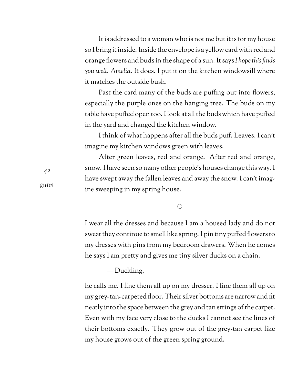It is addressed to a woman who is not me but it is for my house so I bring it inside. Inside the envelope is a yellow card with red and orange 
owers and buds in the shape of a sun. It says*I hope this nds you well. Amelia.* It does. I put it on the kitchen windowsill where it matches the outside bush.

Past the card many of the buds are puffing out into flowers, especially the purple ones on the hanging tree. The buds on my table have puffed open too. I look at all the buds which have puffed in the yard and changed the kitchen window.

I think of what happens after all the buds puff. Leaves. I can't imagine my kitchen windows green with leaves.

After green leaves, red and orange. After red and orange, snow. I have seen so many other people's houses change this way. I have swept away the fallen leaves and away the snow. I can't imagine sweeping in my spring house.

 $\bigcap$ 

I wear all the dresses and because I am a housed lady and do not sweat they continue to smell like spring. I pin tiny puffed flowers to my dresses with pins from my bedroom drawers. When he comes he says I am pretty and gives me tiny silver ducks on a chain.

— Duckling,

he calls me. I line them all up on my dresser. I line them all up on my grey-tan-carpeted floor. Their silver bottoms are narrow and fit neatly into the space between the grey and tan strings of the carpet. Even with my face very close to the ducks I cannot see the lines of their bottoms exactly. They grow out of the grey-tan carpet like my house grows out of the green spring ground.

*42*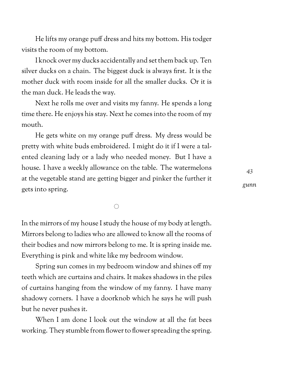He lifts my orange puff dress and hits my bottom. His todger visits the room of my bottom.

I knock over my ducks accidentally and set them back up. Ten silver ducks on a chain. The biggest duck is always first. It is the mother duck with room inside for all the smaller ducks. Or it is the man duck. He leads the way.

Next he rolls me over and visits my fanny. He spends a long time there. He enjoys his stay. Next he comes into the room of my mouth.

He gets white on my orange puff dress. My dress would be pretty with white buds embroidered. I might do it if I were a talented cleaning lady or a lady who needed money. But I have a house. I have a weekly allowance on the table. The watermelons at the vegetable stand are getting bigger and pinker the further it gets into spring.

*43 gunn*

 $\bigcirc$ 

In the mirrors of my house I study the house of my body at length. Mirrors belong to ladies who are allowed to know all the rooms of their bodies and now mirrors belong to me. It is spring inside me. Everything is pink and white like my bedroom window.

Spring sun comes in my bedroom window and shines off my teeth which are curtains and chairs. It makes shadows in the piles of curtains hanging from the window of my fanny. I have many shadowy corners. I have a doorknob which he says he will push but he never pushes it.

When I am done I look out the window at all the fat bees working. They stumble from flower to flower spreading the spring.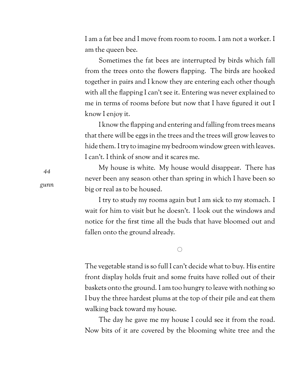I am a fat bee and I move from room to room. I am not a worker. I am the queen bee.

Sometimes the fat bees are interrupted by birds which fall from the trees onto the flowers flapping. The birds are hooked together in pairs and I know they are entering each other though with all the flapping I can't see it. Entering was never explained to me in terms of rooms before but now that I have figured it out I know I enjoy it.

I know the flapping and entering and falling from trees means that there will be eggs in the trees and the trees will grow leaves to hide them. I try to imagine my bedroom window green with leaves. I can't. I think of snow and it scares me.

My house is white. My house would disappear. There has never been any season other than spring in which I have been so big or real as to be housed.

I try to study my rooms again but I am sick to my stomach. I wait for him to visit but he doesn't. I look out the windows and notice for the first time all the buds that have bloomed out and fallen onto the ground already.

 $\bigcirc$ 

The vegetable stand is so full I can't decide what to buy. His entire front display holds fruit and some fruits have rolled out of their baskets onto the ground. I am too hungry to leave with nothing so I buy the three hardest plums at the top of their pile and eat them walking back toward my house.

The day he gave me my house I could see it from the road. Now bits of it are covered by the blooming white tree and the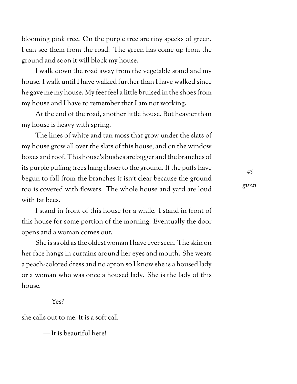blooming pink tree. On the purple tree are tiny specks of green. I can see them from the road. The green has come up from the ground and soon it will block my house.

I walk down the road away from the vegetable stand and my house. I walk until I have walked further than I have walked since he gave me my house. My feet feel a little bruised in the shoes from my house and I have to remember that I am not working.

At the end of the road, another little house. But heavier than my house is heavy with spring.

The lines of white and tan moss that grow under the slats of my house grow all over the slats of this house, and on the window boxes and roof. This house's bushes are bigger and the branches of its purple puffing trees hang closer to the ground. If the puffs have begun to fall from the branches it isn't clear because the ground too is covered with flowers. The whole house and yard are loud with fat bees.

I stand in front of this house for a while. I stand in front of this house for some portion of the morning. Eventually the door opens and a woman comes out.

She is as old as the oldest woman I have ever seen. The skin on her face hangs in curtains around her eyes and mouth. She wears a peach-colored dress and no apron so I know she is a housed lady or a woman who was once a housed lady. She is the lady of this house.

 $-$  Yes?

she calls out to me. It is a soft call.

— It is beautiful here!

*45*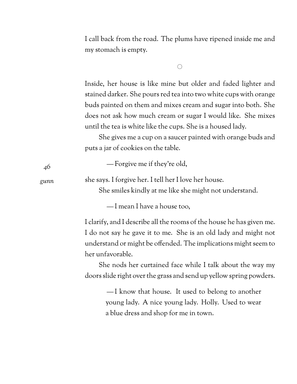I call back from the road. The plums have ripened inside me and my stomach is empty.

 $\bigcirc$ 

Inside, her house is like mine but older and faded lighter and stained darker. She pours red tea into two white cups with orange buds painted on them and mixes cream and sugar into both. She does not ask how much cream or sugar I would like. She mixes until the tea is white like the cups. She is a housed lady.

She gives me a cup on a saucer painted with orange buds and puts a jar of cookies on the table.

| 46   | — Forgive me if they're old,                                                                                    |
|------|-----------------------------------------------------------------------------------------------------------------|
| gunn | she says. I forgive her. I tell her I love her house.<br>She smiles kindly at me like she might not understand. |
|      | -I mean I have a house too,                                                                                     |
|      | I clarify, and I describe all the rooms of the house he has given me.                                           |
|      | I do not say he gave it to me. She is an old lady and might not                                                 |
|      | understand or might be offended. The implications might seem to                                                 |
|      | her unfavorable.                                                                                                |

She nods her curtained face while I talk about the way my doors slide right over the grass and send up yellow spring powders.

> — I know that house. It used to belong to another young lady. A nice young lady. Holly. Used to wear a blue dress and shop for me in town.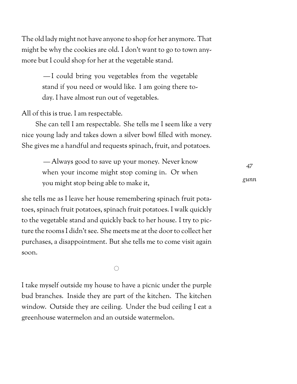The old lady might not have anyone to shop for her anymore. That might be why the cookies are old. I don't want to go to town anymore but I could shop for her at the vegetable stand.

> — I could bring you vegetables from the vegetable stand if you need or would like. I am going there today. I have almost run out of vegetables.

All of this is true. I am respectable.

She can tell I am respectable. She tells me I seem like a very nice young lady and takes down a silver bowl lled with money. She gives me a handful and requests spinach, fruit, and potatoes.

> *47 gunn* — Always good to save up your money. Never know when your income might stop coming in. Or when you might stop being able to make it,

she tells me as I leave her house remembering spinach fruit potatoes, spinach fruit potatoes, spinach fruit potatoes. I walk quickly to the vegetable stand and quickly back to her house. I try to picture the rooms I didn't see. She meets me at the door to collect her purchases, a disappointment. But she tells me to come visit again soon.

 $\bigcirc$ 

I take myself outside my house to have a picnic under the purple bud branches. Inside they are part of the kitchen. The kitchen window. Outside they are ceiling. Under the bud ceiling I eat a greenhouse watermelon and an outside watermelon.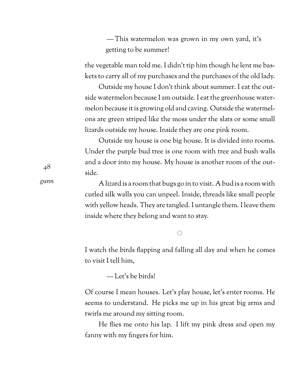— This watermelon was grown in my own yard, it's getting to be summer!

the vegetable man told me. I didn't tip him though he lent me baskets to carry all of my purchases and the purchases of the old lady.

Outside my house I don't think about summer. I eat the outside watermelon because I am outside. I eat the greenhouse watermelon because it is growing old and caving. Outside the watermelons are green striped like the moss under the slats or some small lizards outside my house. Inside they are one pink room.

Outside my house is one big house. It is divided into rooms. Under the purple bud tree is one room with tree and bush walls and a door into my house. My house is another room of the outside.

A lizard is a room that bugs go in to visit. A bud is a room with curled silk walls you can unpeel. Inside, threads like small people with yellow heads. They are tangled. I untangle them. I leave them inside where they belong and want to stay.

 $\bigcap$ 

I watch the birds flapping and falling all day and when he comes to visit I tell him,

— Let's be birds!

Of course I mean houses. Let's play house, let's enter rooms. He seems to understand. He picks me up in his great big arms and twirls me around my sitting room.

He flies me onto his lap. I lift my pink dress and open my fanny with my fingers for him.

*48*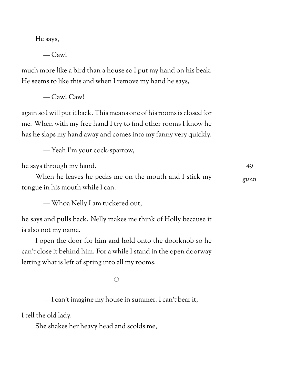He says,

 $-C<sub>aw</sub>$ !

much more like a bird than a house so I put my hand on his beak. He seems to like this and when I remove my hand he says,

— Caw! Caw!

again so I will put it back. This means one of his rooms is closed for me. When with my free hand I try to find other rooms I know he has he slaps my hand away and comes into my fanny very quickly.

— Yeah I'm your cock-sparrow,

he says through my hand.

*gunn* When he leaves he pecks me on the mouth and I stick my tongue in his mouth while I can.

*49*

—Whoa Nelly I am tuckered out,

he says and pulls back. Nelly makes me think of Holly because it is also not my name.

I open the door for him and hold onto the doorknob so he can't close it behind him. For a while I stand in the open doorway letting what is left of spring into all my rooms.

 $\bigcirc$ 

— I can't imagine my house in summer. I can't bear it,

I tell the old lady.

She shakes her heavy head and scolds me,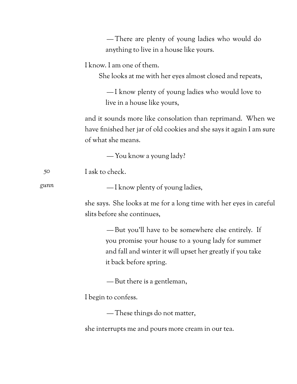|      | -There are plenty of young ladies who would do<br>anything to live in a house like yours.                                                                                                       |
|------|-------------------------------------------------------------------------------------------------------------------------------------------------------------------------------------------------|
|      | I know. I am one of them.<br>She looks at me with her eyes almost closed and repeats,                                                                                                           |
|      | -I know plenty of young ladies who would love to<br>live in a house like yours,                                                                                                                 |
|      | and it sounds more like consolation than reprimand. When we<br>have finished her jar of old cookies and she says it again I am sure<br>of what she means.                                       |
|      | - You know a young lady?                                                                                                                                                                        |
| 50   | I ask to check.                                                                                                                                                                                 |
| gunn | -I know plenty of young ladies,                                                                                                                                                                 |
|      | she says. She looks at me for a long time with her eyes in careful<br>slits before she continues,                                                                                               |
|      | - But you'll have to be somewhere else entirely. If<br>you promise your house to a young lady for summer<br>and fall and winter it will upset her greatly if you take<br>it back before spring. |
|      | — But there is a gentleman,                                                                                                                                                                     |
|      | I begin to confess.                                                                                                                                                                             |
|      | -These things do not matter,                                                                                                                                                                    |
|      | she interrupts me and pours more cream in our tea.                                                                                                                                              |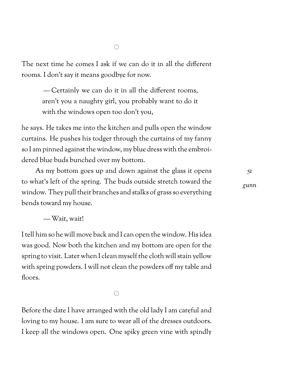The next time he comes I ask if we can do it in all the different rooms. I don't say it means goodbye for now.

> — Certainly we can do it in all the different rooms, aren't you a naughty girl, you probably want to do it with the windows open too don't you,

he says. He takes me into the kitchen and pulls open the window curtains. He pushes his todger through the curtains of my fanny so I am pinned against the window, my blue dress with the embroidered blue buds bunched over my bottom.

As my bottom goes up and down against the glass it opens to what's left of the spring. The buds outside stretch toward the window. They pull their branches and stalks of grass so everything bends toward my house.

*51 gunn*

#### —Wait, wait!

I tell him so he will move back and I can open the window. His idea was good. Now both the kitchen and my bottom are open for the spring to visit. Later when I clean myself the cloth will stain yellow with spring powders. I will not clean the powders off my table and floors.

 $\bigcirc$ 

Before the date I have arranged with the old lady I am careful and loving to my house. I am sure to wear all of the dresses outdoors. I keep all the windows open. One spiky green vine with spindly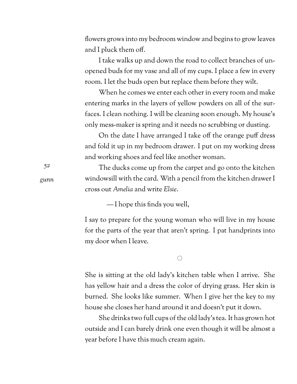flowers grows into my bedroom window and begins to grow leaves and I pluck them off.

I take walks up and down the road to collect branches of unopened buds for my vase and all of my cups. I place a few in every room. I let the buds open but replace them before they wilt.

When he comes we enter each other in every room and make entering marks in the layers of yellow powders on all of the surfaces. I clean nothing. I will be cleaning soon enough. My house's only mess-maker is spring and it needs no scrubbing or dusting.

On the date I have arranged I take off the orange puff dress and fold it up in my bedroom drawer. I put on my working dress and working shoes and feel like another woman.

The ducks come up from the carpet and go onto the kitchen windowsill with the card. With a pencil from the kitchen drawer I cross out *Amelia* and write *Elsie*.

 $\equiv$  I hope this finds you well.

I say to prepare for the young woman who will live in my house for the parts of the year that aren't spring. I pat handprints into my door when I leave.

 $\bigcirc$ 

She is sitting at the old lady's kitchen table when I arrive. She has yellow hair and a dress the color of drying grass. Her skin is burned. She looks like summer. When I give her the key to my house she closes her hand around it and doesn't put it down.

She drinks two full cups of the old lady's tea. It has grown hot outside and I can barely drink one even though it will be almost a year before I have this much cream again.

*52*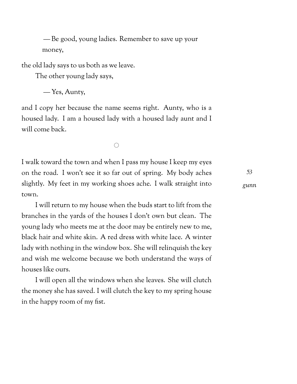— Be good, young ladies. Remember to save up your money,

the old lady says to us both as we leave.

The other young lady says,

— Yes, Aunty,

and I copy her because the name seems right. Aunty, who is a housed lady. I am a housed lady with a housed lady aunt and I will come back.

 $\bigcirc$ 

I walk toward the town and when I pass my house I keep my eyes on the road. I won't see it so far out of spring. My body aches slightly. My feet in my working shoes ache. I walk straight into town.

I will return to my house when the buds start to lift from the branches in the yards of the houses I don't own but clean. The young lady who meets me at the door may be entirely new to me, black hair and white skin. A red dress with white lace. A winter lady with nothing in the window box. She will relinquish the key and wish me welcome because we both understand the ways of houses like ours.

I will open all the windows when she leaves. She will clutch the money she has saved. I will clutch the key to my spring house in the happy room of my fist.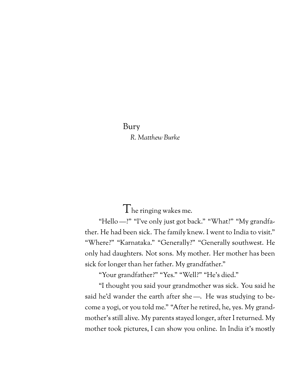## Bury *R. Matthew Burke*

# The ringing wakes me.

"Hello —?" "I've only just got back." "What?" "My grandfather. He had been sick. The family knew. I went to India to visit." "Where?" "Karnataka." "Generally?" "Generally southwest. He only had daughters. Not sons. My mother. Her mother has been sick for longer than her father. My grandfather."

"Your grandfather?" "Yes." "Well?" "He's died."

"I thought you said your grandmother was sick. You said he said he'd wander the earth after she—. He was studying to become a yogi, or you told me." "After he retired, he, yes. My grandmother's still alive. My parents stayed longer, after I returned. My mother took pictures, I can show you online. In India it's mostly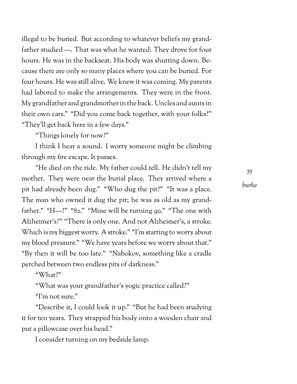illegal to be buried. But according to whatever beliefs my grandfather studied —. That was what he wanted. They drove for four hours. He was in the backseat. His body was shutting down. Because there are only so many places where you can be buried. For four hours. He was still alive. We knew it was coming. My parents had labored to make the arrangements. They were in the front. My grandfather and grandmother in the back. Uncles and aunts in their own cars." "Did you come back together, with your folks?" "They'll get back here in a few days."

"Things lonely for now?"

I think I hear a sound. I worry someone might be climbing through my fire escape. It passes.

"He died on the ride. My father could tell. He didn't tell my mother. They were near the burial place. They arrived where a pit had already been dug." "Who dug the pit?" "It was a place. The man who owned it dug the pit; he was as old as my grandfather." "H—?" "82." "Mine will be turning 90." "The one with Alzheimer's?" "There is only one. And not Alzheimer's, a stroke. Which is my biggest worry. A stroke." "I'm starting to worry about my blood pressure." "We have years before we worry about that." "By then it will be too late." "Nabokov, something like a cradle perched between two endless pits of darkness."

"What?"

"What was your grandfather's yogic practice called?"

"I'm not sure."

"Describe it, I could look it up." "But he had been studying it for ten years. They strapped his body onto a wooden chair and put a pillowcase over his head."

I consider turning on my bedside lamp.

*55*

*burke*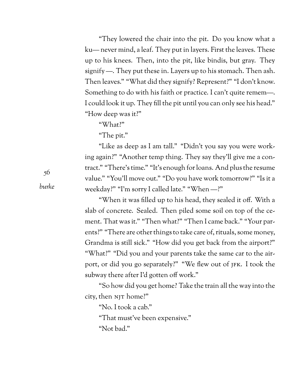"They lowered the chair into the pit. Do you know what a ku— never mind, a leaf. They put in layers. First the leaves. These up to his knees. Then, into the pit, like bindis, but gray. They signify —. They put these in. Layers up to his stomach. Then ash. Then leaves." "What did they signify? Represent?" "I don't know. Something to do with his faith or practice. I can't quite remem—. I could look it up. They ll the pit until you can only see his head." "How deep was it?"

"What?"

"The pit."

"Like as deep as I am tall." "Didn't you say you were working again?" "Another temp thing. They say they'll give me a contract." "There's time." "It's enough for loans. And plus the resume value." "You'll move out." "Do you have work tomorrow?" "Is it a weekday?" "I'm sorry I called late." "When —?"

"When it was filled up to his head, they sealed it off. With a slab of concrete. Sealed. Then piled some soil on top of the cement. That was it." "Then what?" "Then I came back." "Your parents?" "There are other things to take care of, rituals, some money, Grandma is still sick." "How did you get back from the airport?" "What?" "Did you and your parents take the same car to the airport, or did you go separately?" "We flew out of JFK. I took the subway there after I'd gotten off work."

"So how did you get home? Take the train all the way into the city, then njt home?"

"No. I took a cab."

"That must've been expensive."

"Not bad."

*56 burke*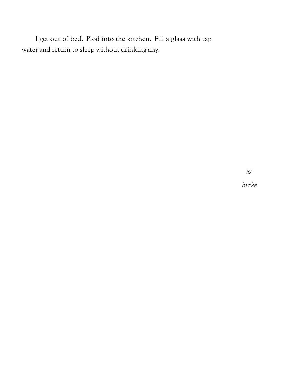I get out of bed. Plod into the kitchen. Fill a glass with tap water and return to sleep without drinking any.

*57*

*burke*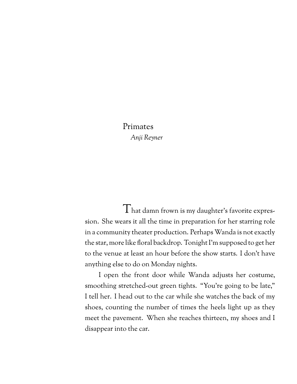## Primates *Anji Reyner*

 $T$ hat damn frown is my daughter's favorite expression. She wears it all the time in preparation for her starring role in a community theater production. Perhaps Wanda is not exactly the star, more like floral backdrop. Tonight I'm supposed to get her to the venue at least an hour before the show starts. I don't have anything else to do on Monday nights.

I open the front door while Wanda adjusts her costume, smoothing stretched-out green tights. "You're going to be late," I tell her. I head out to the car while she watches the back of my shoes, counting the number of times the heels light up as they meet the pavement. When she reaches thirteen, my shoes and I disappear into the car.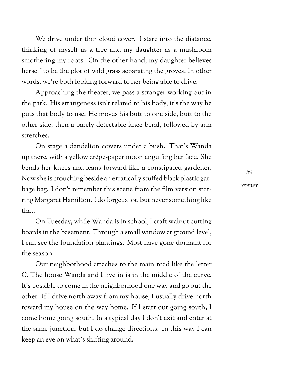We drive under thin cloud cover. I stare into the distance, thinking of myself as a tree and my daughter as a mushroom smothering my roots. On the other hand, my daughter believes herself to be the plot of wild grass separating the groves. In other words, we're both looking forward to her being able to drive.

Approaching the theater, we pass a stranger working out in the park. His strangeness isn't related to his body, it's the way he puts that body to use. He moves his butt to one side, butt to the other side, then a barely detectable knee bend, followed by arm stretches.

On stage a dandelion cowers under a bush. That's Wanda up there, with a yellow crêpe-paper moon engul ng her face. She bends her knees and leans forward like a constipated gardener. Now she is crouching beside an erratically stuffed black plastic garbage bag. I don't remember this scene from the film version starring Margaret Hamilton. I do forget a lot, but never something like that.

On Tuesday, while Wanda is in school, I craft walnut cutting boards in the basement. Through a small window at ground level, I can see the foundation plantings. Most have gone dormant for the season.

Our neighborhood attaches to the main road like the letter *C*. The house Wanda and I live in is in the middle of the curve. It's possible to come in the neighborhood one way and go out the other. If I drive north away from my house, I usually drive north toward my house on the way home. If I start out going south, I come home going south. In a typical day I don't exit and enter at the same junction, but I do change directions. In this way I can keep an eye on what's shifting around.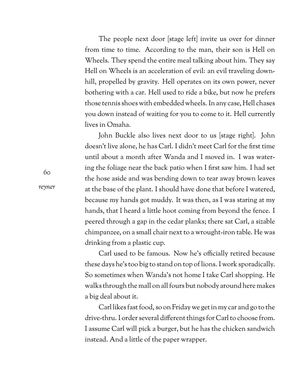The people next door [stage left] invite us over for dinner from time to time. According to the man, their son is Hell on Wheels. They spend the entire meal talking about him. They say Hell on Wheels is an acceleration of evil: an evil traveling downhill, propelled by gravity. Hell operates on its own power, never bothering with a car. Hell used to ride a bike, but now he prefers those tennis shoes with embedded wheels. In any case, Hell chases you down instead of waiting for you to come to it. Hell currently lives in Omaha.

John Buckle also lives next door to us [stage right]. John doesn't live alone, he has Carl. I didn't meet Carl for the first time until about a month after Wanda and I moved in. I was watering the foliage near the back patio when I first saw him. I had set the hose aside and was bending down to tear away brown leaves at the base of the plant. I should have done that before I watered, because my hands got muddy. It was then, as I was staring at my hands, that I heard a little hoot coming from beyond the fence. I peered through a gap in the cedar planks; there sat Carl, a sizable chimpanzee, on a small chair next to a wrought-iron table. He was drinking from a plastic cup.

Carl used to be famous. Now he's officially retired because these days he's too big to stand on top of lions. I work sporadically. So sometimes when Wanda's not home I take Carl shopping. He walks through the mall on all fours but nobody around here makes a big deal about it.

Carl likes fast food, so on Friday we get in my car and go to the drive-thru. I order several different things for Carl to choose from. I assume Carl will pick a burger, but he has the chicken sandwich instead. And a little of the paper wrapper.

*60*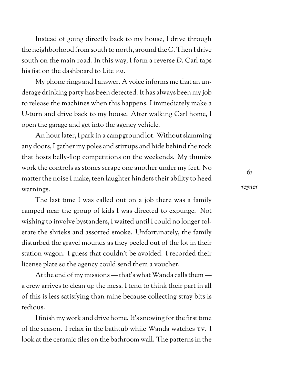Instead of going directly back to my house, I drive through the neighborhood from south to north, around the *C*. Then I drive south on the main road. In this way, I form a reverse *D*. Carl taps his fist on the dashboard to Lite FM.

My phone rings and I answer. A voice informs me that an underage drinking party has been detected. It has always been my job to release the machines when this happens. I immediately make a U-turn and drive back to my house. After walking Carl home, I open the garage and get into the agency vehicle.

An hour later, I park in a campground lot. Without slamming any doors, I gather my poles and stirrups and hide behind the rock that hosts belly-flop competitions on the weekends. My thumbs work the controls as stones scrape one another under my feet. No matter the noise I make, teen laughter hinders their ability to heed warnings.

The last time I was called out on a job there was a family camped near the group of kids I was directed to expunge. Not wishing to involve bystanders, I waited until I could no longer tolerate the shrieks and assorted smoke. Unfortunately, the family disturbed the gravel mounds as they peeled out of the lot in their station wagon. I guess that couldn't be avoided. I recorded their license plate so the agency could send them a voucher.

At the end of my missions — that's what Wanda calls them a crew arrives to clean up the mess. I tend to think their part in all of this is less satisfying than mine because collecting stray bits is tedious.

I finish my work and drive home. It's snowing for the first time of the season. I relax in the bathtub while Wanda watches tv. I look at the ceramic tiles on the bathroom wall. The patterns in the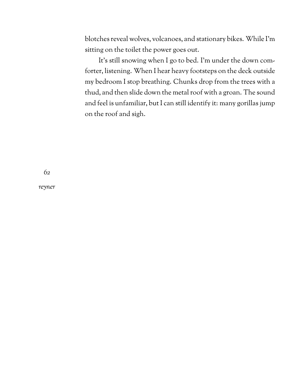blotches reveal wolves, volcanoes, and stationary bikes. While I'm sitting on the toilet the power goes out.

It's still snowing when I go to bed. I'm under the down comforter, listening. When I hear heavy footsteps on the deck outside my bedroom I stop breathing. Chunks drop from the trees with a thud, and then slide down the metal roof with a groan. The sound and feel is unfamiliar, but I can still identify it: many gorillas jump on the roof and sigh.

*62*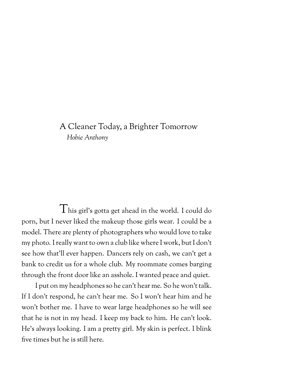#### A Cleaner Today, a Brighter Tomorrow *Hobie Anthony*

This girl's gotta get ahead in the world. I could do porn, but I never liked the makeup those girls wear. I could be a model. There are plenty of photographers who would love to take my photo. I really want to own a club like where I work, but I don't see how that'll ever happen. Dancers rely on cash, we can't get a bank to credit us for a whole club. My roommate comes barging through the front door like an asshole. I wanted peace and quiet.

I put on my headphones so he can't hear me. So he won't talk. If I don't respond, he can't hear me. So I won't hear him and he won't bother me. I have to wear large headphones so he will see that he is not in my head. I keep my back to him. He can't look. He's always looking. I am a pretty girl. My skin is perfect. I blink five times but he is still here.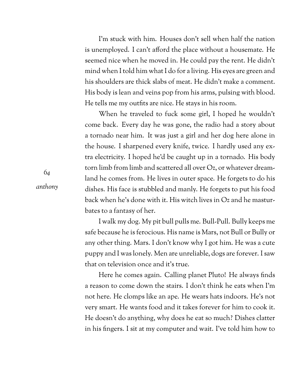I'm stuck with him. Houses don't sell when half the nation is unemployed. I can't afford the place without a housemate. He seemed nice when he moved in. He could pay the rent. He didn't mind when I told him what I do for a living. His eyes are green and his shoulders are thick slabs of meat. He didn't make a comment. His body is lean and veins pop from his arms, pulsing with blood. He tells me my outfits are nice. He stays in his room.

When he traveled to fuck some girl, I hoped he wouldn't come back. Every day he was gone, the radio had a story about a tornado near him. It was just a girl and her dog here alone in the house. I sharpened every knife, twice. I hardly used any extra electricity. I hoped he'd be caught up in a tornado. His body torn limb from limb and scattered all over Oz, or whatever dreamland he comes from. He lives in outer space. He forgets to do his dishes. His face is stubbled and manly. He forgets to put his food back when he's done with it. His witch lives in Oz and he masturbates to a fantasy of her.

I walk my dog. My pit bull pulls me. Bull-Pull. Bully keeps me safe because he is ferocious. His name is Mars, not Bull or Bully or any other thing. Mars. I don't know why I got him. He was a cute puppy and I was lonely. Men are unreliable, dogs are forever. I saw that on television once and it's true.

Here he comes again. Calling planet Pluto! He always nds a reason to come down the stairs. I don't think he eats when I'm not here. He clomps like an ape. He wears hats indoors. He's not very smart. He wants food and it takes forever for him to cook it. He doesn't do anything, why does he eat so much? Dishes clatter in his fingers. I sit at my computer and wait. I've told him how to

*64*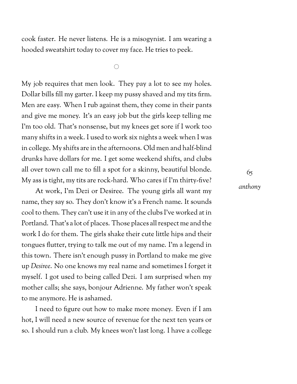cook faster. He never listens. He is a misogynist. I am wearing a hooded sweatshirt today to cover my face. He tries to peek.

 $\bigcirc$ 

My job requires that men look. They pay a lot to see my holes. Dollar bills fill my garter. I keep my pussy shayed and my tits firm. Men are easy. When I rub against them, they come in their pants and give me money. It's an easy job but the girls keep telling me I'm too old. That's nonsense, but my knees get sore if I work too many shifts in a week. I used to work six nights a week when I was in college. My shifts are in the afternoons. Old men and half-blind drunks have dollars for me. I get some weekend shifts, and clubs all over town call me to ll a spot for a skinny, beautiful blonde. My ass is tight, my tits are rock-hard. Who cares if I'm thirty-five?

At work, I'm Dezi or Desiree. The young girls all want my name, they say so. They don't know it's a French name. It sounds cool to them. They can't use it in any of the clubs I've worked at in Portland. That's a lot of places. Those places all respect me and the work I do for them. The girls shake their cute little hips and their tongues flutter, trying to talk me out of my name. I'm a legend in this town. There isn't enough pussy in Portland to make me give up *Desiree*. No one knows my real name and sometimes I forget it myself. I got used to being called Dezi. I am surprised when my mother calls; she says, bonjour Adrienne. My father won't speak to me anymore. He is ashamed.

I need to figure out how to make more money. Even if I am hot, I will need a new source of revenue for the next ten years or so. I should run a club. My knees won't last long. I have a college

*65*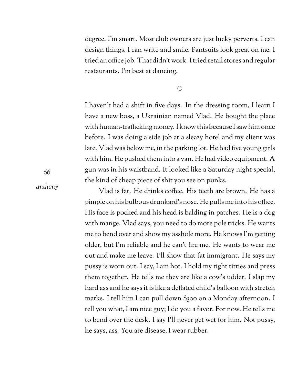degree. I'm smart. Most club owners are just lucky perverts. I can design things. I can write and smile. Pantsuits look great on me. I tried an office job. That didn't work. I tried retail stores and regular restaurants. I'm best at dancing.

 $\bigcap$ 

I haven't had a shift in five days. In the dressing room, I learn I have a new boss, a Ukrainian named Vlad. He bought the place with human-trafficking money. I know this because I saw him once before. I was doing a side job at a sleazy hotel and my client was late. Vlad was below me, in the parking lot. He had five voung girls with him. He pushed them into a van. He had video equipment. A gun was in his waistband. It looked like a Saturday night special, the kind of cheap piece of shit you see on punks.

Vlad is fat. He drinks coffee. His teeth are brown. He has a pimple on his bulbous drunkard's nose. He pulls me into his office. His face is pocked and his head is balding in patches. He is a dog with mange. Vlad says, you need to do more pole tricks. He wants me to bend over and show my asshole more. He knows I'm getting older, but I'm reliable and he can't fire me. He wants to wear me out and make me leave. I'll show that fat immigrant. He says my pussy is worn out. I say, I am hot. I hold my tight titties and press them together. He tells me they are like a cow's udder. I slap my hard ass and he says it is like a deflated child's balloon with stretch marks. I tell him I can pull down \$300 on a Monday afternoon. I tell you what, I am nice guy; I do you a favor. For now. He tells me to bend over the desk. I say I'll never get wet for him. Not pussy, he says, ass. You are disease, I wear rubber.

*66*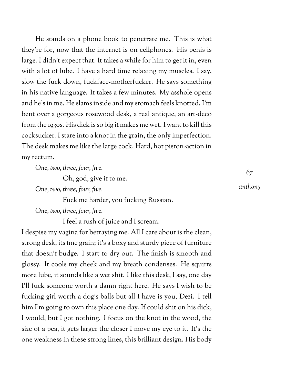He stands on a phone book to penetrate me. This is what they're for, now that the internet is on cellphones. His penis is large. I didn't expect that. It takes a while for him to get it in, even with a lot of lube. I have a hard time relaxing my muscles. I say, slow the fuck down, fuckface-motherfucker. He says something in his native language. It takes a few minutes. My asshole opens and he's in me. He slams inside and my stomach feels knotted. I'm bent over a gorgeous rosewood desk, a real antique, an art-deco from the 1930s. His dick is so big it makes me wet. I want to kill this cocksucker. I stare into a knot in the grain, the only imperfection. The desk makes me like the large cock. Hard, hot piston-action in my rectum.

*One, two, three, four, ve.*

Oh, god, give it to me.

*One, two, three, four, ve.*

Fuck me harder, you fucking Russian.

*One, two, three, four, ve.*

I feel a rush of juice and I scream.

I despise my vagina for betraying me. All I care about is the clean, strong desk, its fine grain; it's a boxy and sturdy piece of furniture that doesn't budge. I start to dry out. The finish is smooth and glossy. It cools my cheek and my breath condenses. He squirts more lube, it sounds like a wet shit. I like this desk, I say, one day I'll fuck someone worth a damn right here. He says I wish to be fucking girl worth a dog's balls but all I have is you, Dezi. I tell him I'm going to own this place one day. If could shit on his dick, I would, but I got nothing. I focus on the knot in the wood, the size of a pea, it gets larger the closer I move my eye to it. It's the one weakness in these strong lines, this brilliant design. His body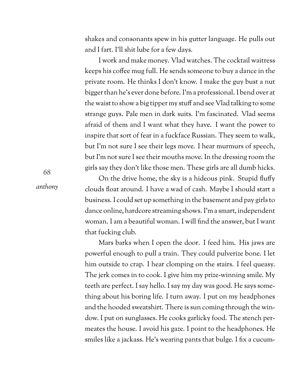shakes and consonants spew in his gutter language. He pulls out and I fart. I'll shit lube for a few days.

I work and make money. Vlad watches. The cocktail waitress keeps his coffee mug full. He sends someone to buy a dance in the private room. He thinks I don't know. I make the guy bust a nut bigger than he's ever done before. I'm a professional. I bend over at the waist to show a big tipper my stuff and see Vlad talking to some strange guys. Pale men in dark suits. I'm fascinated. Vlad seems afraid of them and I want what they have. I want the power to inspire that sort of fear in a fuckface Russian. They seem to walk, but I'm not sure I see their legs move. I hear murmurs of speech, but I'm not sure I see their mouths move. In the dressing room the girls say they don't like those men. These girls are all dumb hicks.

On the drive home, the sky is a hideous pink. Stupid fluffy clouds float around. I have a wad of cash. Maybe I should start a business. I could set up something in the basement and pay girls to dance online, hardcore streaming shows. I'm a smart, independent woman. I am a beautiful woman. I will find the answer, but I want that fucking club.

Mars barks when I open the door. I feed him. His jaws are powerful enough to pull a train. They could pulverize bone. I let him outside to crap. I hear clomping on the stairs. I feel queasy. The jerk comes in to cook. I give him my prize-winning smile. My teeth are perfect. I say hello. I say my day was good. He says something about his boring life. I turn away. I put on my headphones and the hooded sweatshirt. There is sun coming through the window. I put on sunglasses. He cooks garlicky food. The stench permeates the house. I avoid his gaze. I point to the headphones. He smiles like a jackass. He's wearing pants that bulge. I fix a cucum-

*68*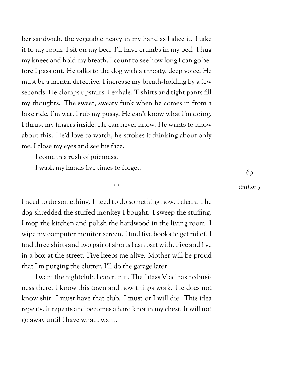ber sandwich, the vegetable heavy in my hand as I slice it. I take it to my room. I sit on my bed. I'll have crumbs in my bed. I hug my knees and hold my breath. I count to see how long I can go before I pass out. He talks to the dog with a throaty, deep voice. He must be a mental defective. I increase my breath-holding by a few seconds. He clomps upstairs. I exhale. T-shirts and tight pants ll my thoughts. The sweet, sweaty funk when he comes in from a bike ride. I'm wet. I rub my pussy. He can't know what I'm doing. I thrust my ngers inside. He can never know. He wants to know about this. He'd love to watch, he strokes it thinking about only me. I close my eyes and see his face.

I come in a rush of juiciness.

I wash my hands five times to forget.

 $\bigcirc$ 

I need to do something. I need to do something now. I clean. The dog shredded the stuffed monkey I bought. I sweep the stuffing. I mop the kitchen and polish the hardwood in the living room. I wipe my computer monitor screen. I find five books to get rid of. I find three shirts and two pair of shorts I can part with. Five and five in a box at the street. Five keeps me alive. Mother will be proud that I'm purging the clutter. I'll do the garage later.

I want the nightclub. I can run it. The fatass Vlad has no business there. I know this town and how things work. He does not know shit. I must have that club. I must or I will die. This idea repeats. It repeats and becomes a hard knot in my chest. It will not go away until I have what I want.

*69*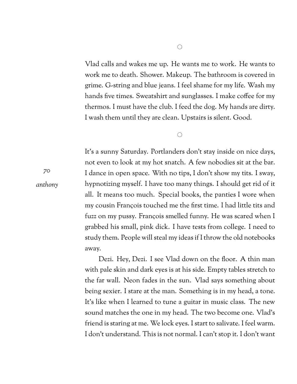Vlad calls and wakes me up. He wants me to work. He wants to work me to death. Shower. Makeup. The bathroom is covered in grime. G-string and blue jeans. I feel shame for my life. Wash my hands five times. Sweatshirt and sunglasses. I make coffee for my thermos. I must have the club. I feed the dog. My hands are dirty. I wash them until they are clean. Upstairs is silent. Good.

 $\bigcirc$ 

It's a sunny Saturday. Portlanders don't stay inside on nice days, not even to look at my hot snatch. A few nobodies sit at the bar. I dance in open space. With no tips, I don't show my tits. I sway, hypnotizing myself. I have too many things. I should get rid of it all. It means too much. Special books, the panties I wore when my cousin François touched me the first time. I had little tits and fuzz on my pussy. François smelled funny. He was scared when I grabbed his small, pink dick. I have tests from college. I need to study them. People will steal my ideas if I throw the old notebooks away.

Dezi. Hey, Dezi. I see Vlad down on the floor. A thin man with pale skin and dark eyes is at his side. Empty tables stretch to the far wall. Neon fades in the sun. Vlad says something about being sexier. I stare at the man. Something is in my head, a tone. It's like when I learned to tune a guitar in music class. The new sound matches the one in my head. The two become one. Vlad's friend is staring at me. We lock eyes. I start to salivate. I feel warm. I don't understand. This is not normal. I can't stop it. I don't want

*70*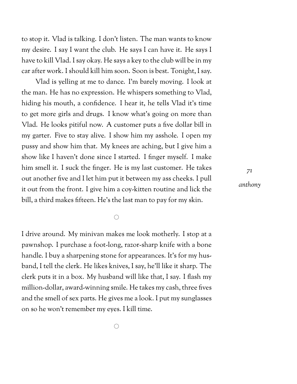to stop it. Vlad is talking. I don't listen. The man wants to know my desire. I say I want the club. He says I can have it. He says I have to kill Vlad. I say okay. He says a key to the club will be in my car after work. I should kill him soon. Soon is best. Tonight, I say.

Vlad is yelling at me to dance. I'm barely moving. I look at the man. He has no expression. He whispers something to Vlad, hiding his mouth, a con dence. I hear it, he tells Vlad it's time to get more girls and drugs. I know what's going on more than Vlad. He looks pitiful now. A customer puts a five dollar bill in my garter. Five to stay alive. I show him my asshole. I open my pussy and show him that. My knees are aching, but I give him a show like I haven't done since I started. I finger myself. I make him smell it. I suck the finger. He is my last customer. He takes out another five and I let him put it between my ass cheeks. I pull it out from the front. I give him a coy-kitten routine and lick the bill, a third makes fteen. He's the last man to pay for my skin.

*71*

*anthony*

 $\bigcirc$ 

I drive around. My minivan makes me look motherly. I stop at a pawnshop. I purchase a foot-long, razor-sharp knife with a bone handle. I buy a sharpening stone for appearances. It's for my husband, I tell the clerk. He likes knives, I say, he'll like it sharp. The clerk puts it in a box. My husband will like that, I say. I flash my million-dollar, award-winning smile. He takes my cash, three fives and the smell of sex parts. He gives me a look. I put my sunglasses on so he won't remember my eyes. I kill time.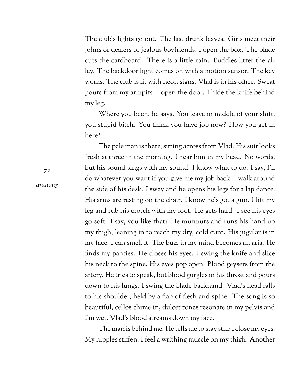The club's lights go out. The last drunk leaves. Girls meet their johns or dealers or jealous boyfriends. I open the box. The blade cuts the cardboard. There is a little rain. Puddles litter the alley. The backdoor light comes on with a motion sensor. The key works. The club is lit with neon signs. Vlad is in his office. Sweat pours from my armpits. I open the door. I hide the knife behind my leg.

Where you been, he says. You leave in middle of your shift, you stupid bitch. You think you have job now? How you get in here?

The pale man is there, sitting across from Vlad. His suit looks fresh at three in the morning. I hear him in my head. No words, but his sound sings with my sound. I know what to do. I say, I'll do whatever you want if you give me my job back. I walk around the side of his desk. I sway and he opens his legs for a lap dance. His arms are resting on the chair. I know he's got a gun. I lift my leg and rub his crotch with my foot. He gets hard. I see his eyes go soft. I say, you like that? He murmurs and runs his hand up my thigh, leaning in to reach my dry, cold cunt. His jugular is in my face. I can smell it. The buzz in my mind becomes an aria. He finds my panties. He closes his eyes. I swing the knife and slice his neck to the spine. His eyes pop open. Blood geysers from the artery. He tries to speak, but blood gurgles in his throat and pours down to his lungs. I swing the blade backhand. Vlad's head falls to his shoulder, held by a flap of flesh and spine. The song is so beautiful, cellos chime in, dulcet tones resonate in my pelvis and I'm wet. Vlad's blood streams down my face.

The man is behind me. He tells me to stay still; I close my eyes. My nipples stiffen. I feel a writhing muscle on my thigh. Another

*72*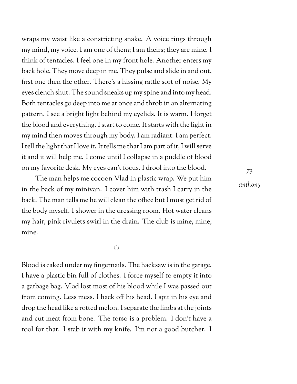wraps my waist like a constricting snake. A voice rings through my mind, my voice. I am one of them; I am theirs; they are mine. I think of tentacles. I feel one in my front hole. Another enters my back hole. They move deep in me. They pulse and slide in and out, first one then the other. There's a hissing rattle sort of noise. My eyes clench shut. The sound sneaks up my spine and into my head. Both tentacles go deep into me at once and throb in an alternating pattern. I see a bright light behind my eyelids. It is warm. I forget the blood and everything. I start to come. It starts with the light in my mind then moves through my body. I am radiant. I am perfect. I tell the light that I love it. It tells me that I am part of it, I will serve it and it will help me. I come until I collapse in a puddle of blood on my favorite desk. My eyes can't focus. I drool into the blood.

The man helps me cocoon Vlad in plastic wrap. We put him in the back of my minivan. I cover him with trash I carry in the back. The man tells me he will clean the office but I must get rid of the body myself. I shower in the dressing room. Hot water cleans my hair, pink rivulets swirl in the drain. The club is mine, mine, mine.

 $\circ$ 

Blood is caked under my fingernails. The hacksaw is in the garage. I have a plastic bin full of clothes. I force myself to empty it into a garbage bag. Vlad lost most of his blood while I was passed out from coming. Less mess. I hack off his head. I spit in his eye and drop the head like a rotted melon. I separate the limbs at the joints and cut meat from bone. The torso is a problem. I don't have a tool for that. I stab it with my knife. I'm not a good butcher. I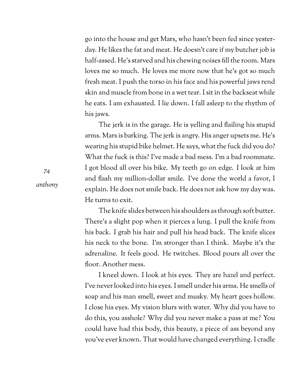go into the house and get Mars, who hasn't been fed since yesterday. He likes the fat and meat. He doesn't care if my butcher job is half-assed. He's starved and his chewing noises ll the room. Mars loves me so much. He loves me more now that he's got so much fresh meat. I push the torso in his face and his powerful jaws rend skin and muscle from bone in a wet tear. I sit in the backseat while he eats. I am exhausted. I lie down. I fall asleep to the rhythm of his jaws.

The jerk is in the garage. He is yelling and flailing his stupid arms. Mars is barking. The jerk is angry. His anger upsets me. He's wearing his stupid bike helmet. He says, what the fuck did you do? What the fuck is this? I've made a bad mess. I'm a bad roommate. I got blood all over his bike. My teeth go on edge. I look at him and flash my million-dollar smile. I've done the world a favor, I explain. He does not smile back. He does not ask how my day was. He turns to exit.

The knife slides between his shoulders as through soft butter. There's a slight pop when it pierces a lung. I pull the knife from his back. I grab his hair and pull his head back. The knife slices his neck to the bone. I'm stronger than I think. Maybe it's the adrenaline. It feels good. He twitches. Blood pours all over the floor. Another mess.

I kneel down. I look at his eyes. They are hazel and perfect. I've never looked into his eyes. I smell under his arms. He smells of soap and his man smell, sweet and musky. My heart goes hollow. I close his eyes. My vision blurs with water. Why did you have to do this, you asshole? Why did you never make a pass at me? You could have had this body, this beauty, a piece of ass beyond any you've ever known. That would have changed everything. I cradle

*74*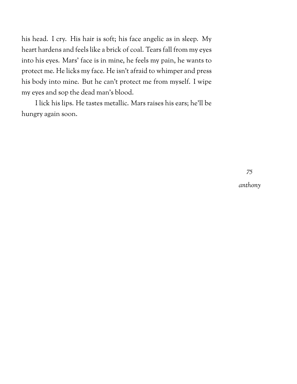his head. I cry. His hair is soft; his face angelic as in sleep. My heart hardens and feels like a brick of coal. Tears fall from my eyes into his eyes. Mars' face is in mine, he feels my pain, he wants to protect me. He licks my face. He isn't afraid to whimper and press his body into mine. But he can't protect me from myself. I wipe my eyes and sop the dead man's blood.

I lick his lips. He tastes metallic. Mars raises his ears; he'll be hungry again soon.

*75*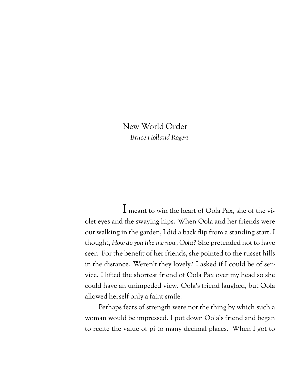## New World Order *Bruce Holland Rogers*

I meant to win the heart of Oola Pax, she of the violet eyes and the swaying hips. When Oola and her friends were out walking in the garden, I did a back flip from a standing start. I thought, *How do you like me now, Oola?* She pretended not to have seen. For the benefit of her friends, she pointed to the russet hills in the distance. Weren't they lovely? I asked if I could be of service. I lifted the shortest friend of Oola Pax over my head so she could have an unimpeded view. Oola's friend laughed, but Oola allowed herself only a faint smile.

Perhaps feats of strength were not the thing by which such a woman would be impressed. I put down Oola's friend and began to recite the value of pi to many decimal places. When I got to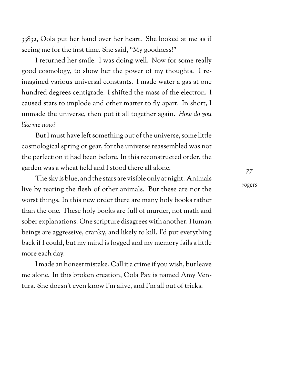33832, Oola put her hand over her heart. She looked at me as if seeing me for the first time. She said, "My goodness!"

I returned her smile. I was doing well. Now for some really good cosmology, to show her the power of my thoughts. I reimagined various universal constants. I made water a gas at one hundred degrees centigrade. I shifted the mass of the electron. I caused stars to implode and other matter to fly apart. In short, I unmade the universe, then put it all together again. *How do you like me now?*

But I must have left something out of the universe, some little cosmological spring or gear, for the universe reassembled was not the perfection it had been before. In this reconstructed order, the garden was a wheat field and I stood there all alone.

The sky is blue, and the stars are visible only at night. Animals live by tearing the flesh of other animals. But these are not the worst things. In this new order there are many holy books rather than the one. These holy books are full of murder, not math and sober explanations. One scripture disagrees with another. Human beings are aggressive, cranky, and likely to kill. I'd put everything back if I could, but my mind is fogged and my memory fails a little more each day.

I made an honest mistake. Call it a crime if you wish, but leave me alone. In this broken creation, Oola Pax is named Amy Ventura. She doesn't even know I'm alive, and I'm all out of tricks.

*77*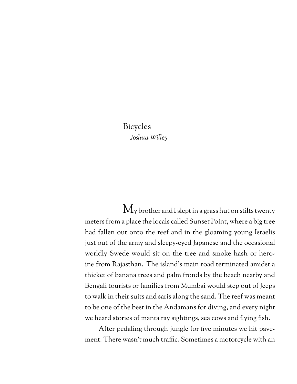## Bicycles *Joshua Willey*

 $\rm\,M_{v}$  brother and I slept in a grass hut on stilts twenty meters from a place the locals called Sunset Point, where a big tree had fallen out onto the reef and in the gloaming young Israelis just out of the army and sleepy-eyed Japanese and the occasional worldly Swede would sit on the tree and smoke hash or heroine from Rajasthan. The island's main road terminated amidst a thicket of banana trees and palm fronds by the beach nearby and Bengali tourists or families from Mumbai would step out of Jeeps to walk in their suits and saris along the sand. The reef was meant to be one of the best in the Andamans for diving, and every night we heard stories of manta ray sightings, sea cows and flying fish.

After pedaling through jungle for five minutes we hit pavement. There wasn't much traffic. Sometimes a motorcycle with an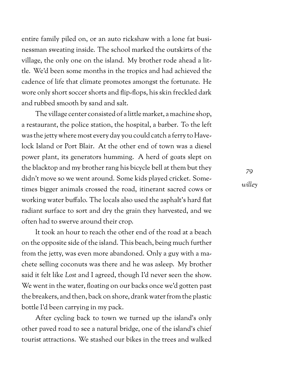entire family piled on, or an auto rickshaw with a lone fat businessman sweating inside. The school marked the outskirts of the village, the only one on the island. My brother rode ahead a little. We'd been some months in the tropics and had achieved the cadence of life that climate promotes amongst the fortunate. He wore only short soccer shorts and flip-flops, his skin freckled dark and rubbed smooth by sand and salt.

The village center consisted of a little market, a machine shop, a restaurant, the police station, the hospital, a barber. To the left was the jetty where most every day you could catch a ferry to Havelock Island or Port Blair. At the other end of town was a diesel power plant, its generators humming. A herd of goats slept on the blacktop and my brother rang his bicycle bell at them but they didn't move so we went around. Some kids played cricket. Sometimes bigger animals crossed the road, itinerant sacred cows or working water buffalo. The locals also used the asphalt's hard flat radiant surface to sort and dry the grain they harvested, and we often had to swerve around their crop.

It took an hour to reach the other end of the road at a beach on the opposite side of the island. This beach, being much further from the jetty, was even more abandoned. Only a guy with a machete selling coconuts was there and he was asleep. My brother said it felt like *Lost* and I agreed, though I'd never seen the show. We went in the water, floating on our backs once we'd gotten past the breakers, and then, back on shore, drank water from the plastic bottle I'd been carrying in my pack.

After cycling back to town we turned up the island's only other paved road to see a natural bridge, one of the island's chief tourist attractions. We stashed our bikes in the trees and walked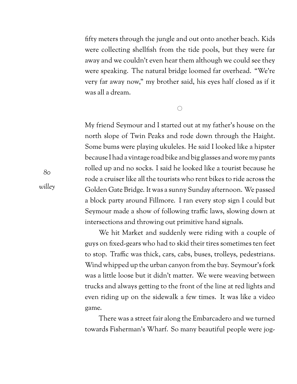fifty meters through the jungle and out onto another beach. Kids were collecting shell sh from the tide pools, but they were far away and we couldn't even hear them although we could see they were speaking. The natural bridge loomed far overhead. "We're very far away now," my brother said, his eyes half closed as if it was all a dream.

 $\bigcap$ 

My friend Seymour and I started out at my father's house on the north slope of Twin Peaks and rode down through the Haight. Some bums were playing ukuleles. He said I looked like a hipster because I had a vintage road bike and big glasses and wore my pants rolled up and no socks. I said he looked like a tourist because he rode a cruiser like all the tourists who rent bikes to ride across the Golden Gate Bridge. It was a sunny Sunday afternoon. We passed a block party around Fillmore. I ran every stop sign I could but Seymour made a show of following traffic laws, slowing down at intersections and throwing out primitive hand signals.

We hit Market and suddenly were riding with a couple of guys on xed-gears who had to skid their tires sometimes ten feet to stop. Traffic was thick, cars, cabs, buses, trolleys, pedestrians. Wind whipped up the urban canyon from the bay. Seymour's fork was a little loose but it didn't matter. We were weaving between trucks and always getting to the front of the line at red lights and even riding up on the sidewalk a few times. It was like a video game.

There was a street fair along the Embarcadero and we turned towards Fisherman's Wharf. So many beautiful people were jog-

*80*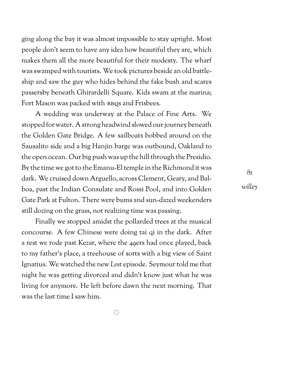ging along the bay it was almost impossible to stay upright. Most people don't seem to have any idea how beautiful they are, which makes them all the more beautiful for their modesty. The wharf was swamped with tourists. We took pictures beside an old battleship and saw the guy who hides behind the fake bush and scares passersby beneath Ghirardelli Square. Kids swam at the marina; Fort Mason was packed with BBQs and Frisbees.

A wedding was underway at the Palace of Fine Arts. We stopped for water. A strong headwind slowed our journey beneath the Golden Gate Bridge. A few sailboats bobbed around on the Sausalito side and a big Hanjin barge was outbound, Oakland to the open ocean. Our big push was up the hill through the Presidio. By the time we got to the Emanu-El temple in the Richmond it was dark. We cruised down Arguello, across Clement, Geary, and Balboa, past the Indian Consulate and Rossi Pool, and into Golden Gate Park at Fulton. There were bums and sun-dazed weekenders still dozing on the grass, not realizing time was passing.

Finally we stopped amidst the pollarded trees at the musical concourse. A few Chinese were doing tai qi in the dark. After a rest we rode past Kezar, where the 49ers had once played, back to my father's place, a treehouse of sorts with a big view of Saint Ignatius. We watched the new *Lost* episode. Seymour told me that night he was getting divorced and didn't know just what he was living for anymore. He left before dawn the next morning. That was the last time I saw him.

*81*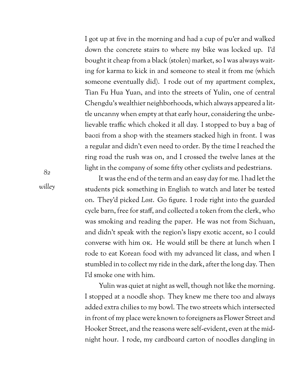I got up at five in the morning and had a cup of pu'er and walked down the concrete stairs to where my bike was locked up. I'd bought it cheap from a black (stolen) market, so I was always waiting for karma to kick in and someone to steal it from me (which someone eventually did). I rode out of my apartment complex, Tian Fu Hua Yuan, and into the streets of Yulin, one of central Chengdu's wealthier neighborhoods, which always appeared a little uncanny when empty at that early hour, considering the unbelievable traffic which choked it all day. I stopped to buy a bag of baozi from a shop with the steamers stacked high in front. I was a regular and didn't even need to order. By the time I reached the ring road the rush was on, and I crossed the twelve lanes at the light in the company of some fty other cyclists and pedestrians.

It was the end of the term and an easy day for me. I had let the students pick something in English to watch and later be tested on. They'd picked Lost. Go figure. I rode right into the guarded cycle barn, free for staff, and collected a token from the clerk, who was smoking and reading the paper. He was not from Sichuan, and didn't speak with the region's lispy exotic accent, so I could converse with him ok. He would still be there at lunch when I rode to eat Korean food with my advanced lit class, and when I stumbled in to collect my ride in the dark, after the long day. Then I'd smoke one with him.

Yulin was quiet at night as well, though not like the morning. I stopped at a noodle shop. They knew me there too and always added extra chilies to my bowl. The two streets which intersected in front of my place were known to foreigners as Flower Street and Hooker Street, and the reasons were self-evident, even at the midnight hour. I rode, my cardboard carton of noodles dangling in

*82*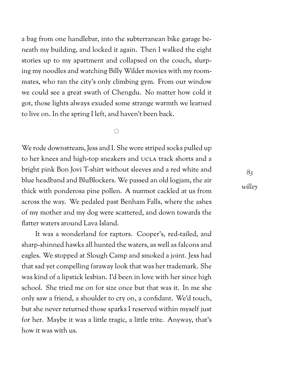a bag from one handlebar, into the subterranean bike garage beneath my building, and locked it again. Then I walked the eight stories up to my apartment and collapsed on the couch, slurping my noodles and watching Billy Wilder movies with my roommates, who ran the city's only climbing gym. From our window we could see a great swath of Chengdu. No matter how cold it got, those lights always exuded some strange warmth we learned to live on. In the spring I left, and haven't been back.

 $\bigcap$ 

We rode downstream, Jess and I. She wore striped socks pulled up to her knees and high-top sneakers and ucla track shorts and a bright pink Bon Jovi T-shirt without sleeves and a red white and blue headband and BluBlockers. We passed an old logjam, the air thick with ponderosa pine pollen. A marmot cackled at us from across the way. We pedaled past Benham Falls, where the ashes of my mother and my dog were scattered, and down towards the flatter waters around Lava Island.

It was a wonderland for raptors. Cooper's, red-tailed, and sharp-shinned hawks all hunted the waters, as well as falcons and eagles. We stopped at Slough Camp and smoked a joint. Jess had that sad yet compelling faraway look that was her trademark. She was kind of a lipstick lesbian. I'd been in love with her since high school. She tried me on for size once but that was it. In me she only saw a friend, a shoulder to cry on, a con dant. We'd touch, but she never returned those sparks I reserved within myself just for her. Maybe it was a little tragic, a little trite. Anyway, that's how it was with us.

*83*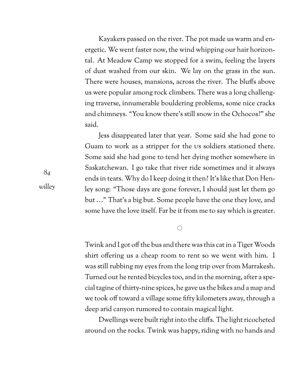Kayakers passed on the river. The pot made us warm and energetic. We went faster now, the wind whipping our hair horizontal. At Meadow Camp we stopped for a swim, feeling the layers of dust washed from our skin. We lay on the grass in the sun. There were houses, mansions, across the river. The bluffs above us were popular among rock climbers. There was a long challenging traverse, innumerable bouldering problems, some nice cracks and chimneys. "You know there's still snow in the Ochocos?" she said.

Jess disappeared later that year. Some said she had gone to Guam to work as a stripper for the us soldiers stationed there. Some said she had gone to tend her dying mother somewhere in Saskatchewan. I go take that river ride sometimes and it always ends in tears. Why do I keep doing it then? It's like that Don Henley song: "Those days are gone forever, I should just let them go but ..." That's a big but. Some people have the one they love, and some have the love itself. Far be it from me to say which is greater.

 $\bigcirc$ 

Twink and I got off the bus and there was this cat in a Tiger Woods shirt offering us a cheap room to rent so we went with him. I was still rubbing my eyes from the long trip over from Marrakesh. Turned out he rented bicycles too, and in the morning, after a special tagine of thirty-nine spices, he gave us the bikes and a map and we took off toward a village some fifty kilometers away, through a deep arid canyon rumored to contain magical light.

Dwellings were built right into the cliffs. The light ricocheted around on the rocks. Twink was happy, riding with no hands and

*84*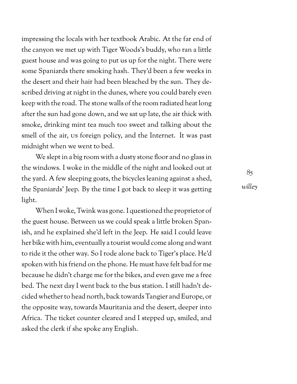impressing the locals with her textbook Arabic. At the far end of the canyon we met up with Tiger Woods's buddy, who ran a little guest house and was going to put us up for the night. There were some Spaniards there smoking hash. They'd been a few weeks in the desert and their hair had been bleached by the sun. They described driving at night in the dunes, where you could barely even keep with the road. The stone walls of the room radiated heat long after the sun had gone down, and we sat up late, the air thick with smoke, drinking mint tea much too sweet and talking about the smell of the air, us foreign policy, and the Internet. It was past midnight when we went to bed.

We slept in a big room with a dusty stone floor and no glass in the windows. I woke in the middle of the night and looked out at the yard. A few sleeping goats, the bicycles leaning against a shed, the Spaniards' Jeep. By the time I got back to sleep it was getting light.

When I woke, Twink was gone. I questioned the proprietor of the guest house. Between us we could speak a little broken Spanish, and he explained she'd left in the Jeep. He said I could leave her bike with him, eventually a tourist would come along and want to ride it the other way. So I rode alone back to Tiger's place. He'd spoken with his friend on the phone. He must have felt bad for me because he didn't charge me for the bikes, and even gave me a free bed. The next day I went back to the bus station. I still hadn't decided whether to head north, back towards Tangier and Europe, or the opposite way, towards Mauritania and the desert, deeper into Africa. The ticket counter cleared and I stepped up, smiled, and asked the clerk if she spoke any English.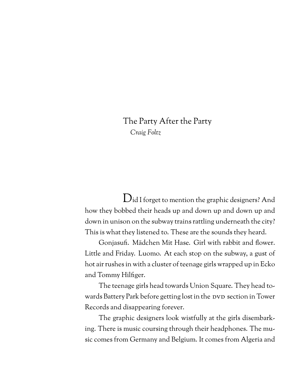## The Party After the Party *Craig Foltz*

Did I forget to mention the graphic designers? And how they bobbed their heads up and down up and down up and down in unison on the subway trains rattling underneath the city? This is what they listened to. These are the sounds they heard.

Gonjasufi. Mädchen Mit Hase. Girl with rabbit and flower. Little and Friday. Luomo. At each stop on the subway, a gust of hot air rushes in with a cluster of teenage girls wrapped up in Ecko and Tommy Hil ger.

The teenage girls head towards Union Square. They head towards Battery Park before getting lost in the DVD section in Tower Records and disappearing forever.

The graphic designers look wistfully at the girls disembarking. There is music coursing through their headphones. The music comes from Germany and Belgium. It comes from Algeria and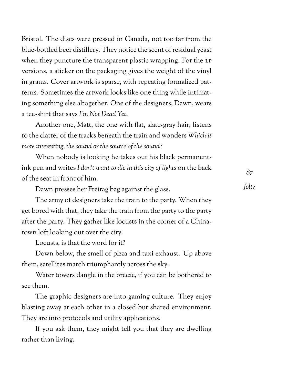Bristol. The discs were pressed in Canada, not too far from the blue-bottled beer distillery. They notice the scent of residual yeast when they puncture the transparent plastic wrapping. For the LP versions, a sticker on the packaging gives the weight of the vinyl in grams. Cover artwork is sparse, with repeating formalized patterns. Sometimes the artwork looks like one thing while intimating something else altogether. One of the designers, Dawn, wears a tee-shirt that says *I'm Not Dead Yet*.

Another one, Matt, the one with flat, slate-gray hair, listens to the clatter of the tracks beneath the train and wonders *Which is more interesting, the sound or the source of the sound?*

When nobody is looking he takes out his black permanentink pen and writes *I don't want to die in this city of lights* on the back of the seat in front of him.

Dawn presses her Freitag bag against the glass.

The army of designers take the train to the party. When they get bored with that, they take the train from the party to the party after the party. They gather like locusts in the corner of a Chinatown loft looking out over the city.

Locusts, is that the word for it?

Down below, the smell of pizza and taxi exhaust. Up above them, satellites march triumphantly across the sky.

Water towers dangle in the breeze, if you can be bothered to see them.

The graphic designers are into gaming culture. They enjoy blasting away at each other in a closed but shared environment. They are into protocols and utility applications.

If you ask them, they might tell you that they are dwelling rather than living.

*87 foltz*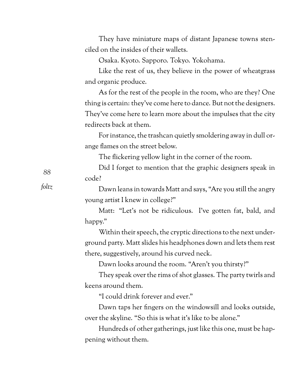| 88<br>foltz | They have miniature maps of distant Japanese towns sten-             |
|-------------|----------------------------------------------------------------------|
|             | ciled on the insides of their wallets.                               |
|             | Osaka. Kyoto. Sapporo. Tokyo. Yokohama.                              |
|             | Like the rest of us, they believe in the power of wheatgrass         |
|             | and organic produce.                                                 |
|             | As for the rest of the people in the room, who are they? One         |
|             | thing is certain: they've come here to dance. But not the designers. |
|             | They've come here to learn more about the impulses that the city     |
|             | redirects back at them.                                              |
|             | For instance, the trashcan quietly smoldering away in dull or-       |
|             | ange flames on the street below.                                     |
|             | The flickering yellow light in the corner of the room.               |
|             | Did I forget to mention that the graphic designers speak in          |
|             | code?                                                                |
|             | Dawn leans in towards Matt and says, "Are you still the angry        |
|             | young artist I knew in college?"                                     |
|             | Matt: "Let's not be ridiculous. I've gotten fat, bald, and           |
|             | happy."                                                              |
|             | Within their speech, the cryptic directions to the next under-       |
|             | ground party. Matt slides his headphones down and lets them rest     |
|             | there, suggestively, around his curved neck.                         |
|             | Dawn looks around the room. "Aren't you thirsty?"                    |
|             | They speak over the rims of shot glasses. The party twirls and       |
|             | keens around them.                                                   |
|             | "I could drink forever and ever."                                    |
|             | Dawn taps her fingers on the windowsill and looks outside,           |
|             | over the skyline. "So this is what it's like to be alone."           |
|             | Hundreds of other gatherings, just like this one, must be hap-       |
|             | pening without them.                                                 |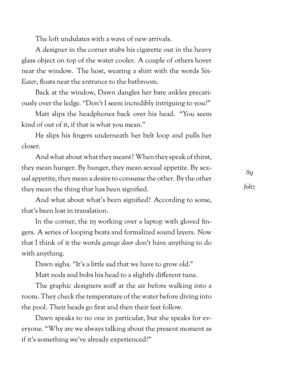The loft undulates with a wave of new arrivals.

A designer in the corner stubs his cigarette out in the heavy glass object on top of the water cooler. A couple of others hover near the window. The host, wearing a shirt with the words *Sin-*Eater, floats near the entrance to the bathroom.

Back at the window, Dawn dangles her bare ankles precariously over the ledge. "Don't I seem incredibly intriguing to you?"

Matt slips the headphones back over his head. "You seem kind of out of it, if that is what you mean."

He slips his fingers underneath her belt loop and pulls her closer.

And what about what they meant? When they speak of thirst, they mean hunger. By hunger, they mean sexual appetite. By sexual appetite, they mean a desire to consume the other. By the other they mean the thing that has been signified.

And what about what's been signified? According to some, that's been lost in translation.

In the corner, the p<sub>I</sub> working over a laptop with gloved fingers. A series of looping beats and formalized sound layers. Now that I think of it the words *garage door* don't have anything to do with anything.

Dawn sighs. "It's a little sad that we have to grow old."

Matt nods and bobs his head to a slightly different tune.

The graphic designers sniff at the air before walking into a room. They check the temperature of the water before diving into the pool. Their heads go first and then their feet follow.

Dawn speaks to no one in particular, but she speaks for everyone. "Why are we always talking about the present moment as if it's something we've already experienced?"

*89 foltz*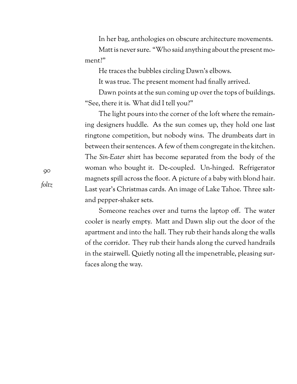In her bag, anthologies on obscure architecture movements.

Matt is never sure. "Who said anything about the present moment?"

He traces the bubbles circling Dawn's elbows.

It was true. The present moment had finally arrived.

Dawn points at the sun coming up over the tops of buildings. "See, there it is. What did I tell you?"

The light pours into the corner of the loft where the remaining designers huddle. As the sun comes up, they hold one last ringtone competition, but nobody wins. The drumbeats dart in between their sentences. A few of them congregate in the kitchen. The *Sin-Eater* shirt has become separated from the body of the woman who bought it. De-coupled. Un-hinged. Refrigerator magnets spill across the floor. A picture of a baby with blond hair. Last year's Christmas cards. An image of Lake Tahoe. Three saltand pepper-shaker sets.

Someone reaches over and turns the laptop off. The water cooler is nearly empty. Matt and Dawn slip out the door of the apartment and into the hall. They rub their hands along the walls of the corridor. They rub their hands along the curved handrails in the stairwell. Quietly noting all the impenetrable, pleasing surfaces along the way.

*90*

*foltz*